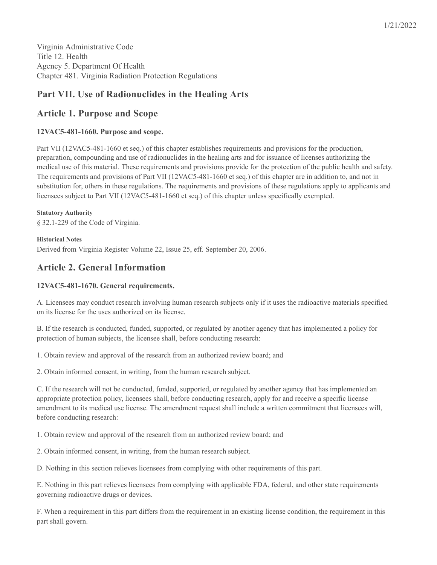# **Part VII. Use of Radionuclides in the Healing Arts**

# **Article 1. Purpose and Scope**

# **12VAC5-481-1660. Purpose and scope.**

Part VII (12VAC5-481-1660 et seq.) of this chapter establishes requirements and provisions for the production, preparation, compounding and use of radionuclides in the healing arts and for issuance of licenses authorizing the medical use of this material. These requirements and provisions provide for the protection of the public health and safety. The requirements and provisions of Part VII (12VAC5-481-1660 et seq.) of this chapter are in addition to, and not in substitution for, others in these regulations. The requirements and provisions of these regulations apply to applicants and licensees subject to Part VII (12VAC5-481-1660 et seq.) of this chapter unless specifically exempted.

**Statutory Authority** § 32.1-229 of the Code of Virginia.

**Historical Notes** Derived from Virginia Register Volume 22, Issue 25, eff. September 20, 2006.

# **Article 2. General Information**

## **12VAC5-481-1670. General requirements.**

A. Licensees may conduct research involving human research subjects only if it uses the radioactive materials specified on its license for the uses authorized on its license.

B. If the research is conducted, funded, supported, or regulated by another agency that has implemented a policy for protection of human subjects, the licensee shall, before conducting research:

1. Obtain review and approval of the research from an authorized review board; and

2. Obtain informed consent, in writing, from the human research subject.

C. If the research will not be conducted, funded, supported, or regulated by another agency that has implemented an appropriate protection policy, licensees shall, before conducting research, apply for and receive a specific license amendment to its medical use license. The amendment request shall include a written commitment that licensees will, before conducting research:

1. Obtain review and approval of the research from an authorized review board; and

2. Obtain informed consent, in writing, from the human research subject.

D. Nothing in this section relieves licensees from complying with other requirements of this part.

E. Nothing in this part relieves licensees from complying with applicable FDA, federal, and other state requirements governing radioactive drugs or devices.

F. When a requirement in this part differs from the requirement in an existing license condition, the requirement in this part shall govern.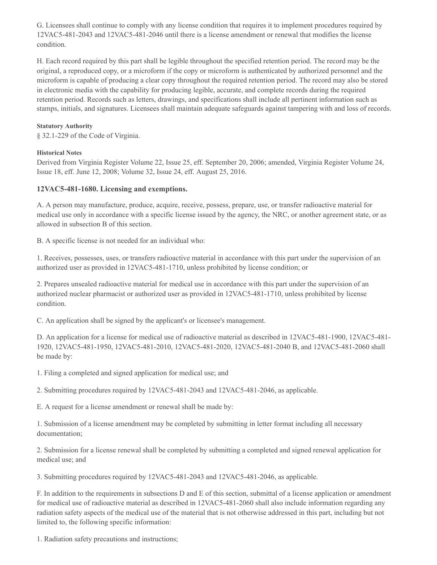G. Licensees shall continue to comply with any license condition that requires it to implement procedures required by 12VAC5-481-2043 and 12VAC5-481-2046 until there is a license amendment or renewal that modifies the license condition.

H. Each record required by this part shall be legible throughout the specified retention period. The record may be the original, a reproduced copy, or a microform if the copy or microform is authenticated by authorized personnel and the microform is capable of producing a clear copy throughout the required retention period. The record may also be stored in electronic media with the capability for producing legible, accurate, and complete records during the required retention period. Records such as letters, drawings, and specifications shall include all pertinent information such as stamps, initials, and signatures. Licensees shall maintain adequate safeguards against tampering with and loss of records.

#### **Statutory Authority**

§ 32.1-229 of the Code of Virginia.

## **Historical Notes**

Derived from Virginia Register Volume 22, Issue 25, eff. September 20, 2006; amended, Virginia Register Volume 24, Issue 18, eff. June 12, 2008; Volume 32, Issue 24, eff. August 25, 2016.

## **12VAC5-481-1680. Licensing and exemptions.**

A. A person may manufacture, produce, acquire, receive, possess, prepare, use, or transfer radioactive material for medical use only in accordance with a specific license issued by the agency, the NRC, or another agreement state, or as allowed in subsection B of this section.

B. A specific license is not needed for an individual who:

1. Receives, possesses, uses, or transfers radioactive material in accordance with this part under the supervision of an authorized user as provided in 12VAC5-481-1710, unless prohibited by license condition; or

2. Prepares unsealed radioactive material for medical use in accordance with this part under the supervision of an authorized nuclear pharmacist or authorized user as provided in 12VAC5-481-1710, unless prohibited by license condition.

C. An application shall be signed by the applicant's or licensee's management.

D. An application for a license for medical use of radioactive material as described in 12VAC5-481-1900, 12VAC5-481- 1920, 12VAC5-481-1950, 12VAC5-481-2010, 12VAC5-481-2020, 12VAC5-481-2040 B, and 12VAC5-481-2060 shall be made by:

1. Filing a completed and signed application for medical use; and

2. Submitting procedures required by 12VAC5-481-2043 and 12VAC5-481-2046, as applicable.

E. A request for a license amendment or renewal shall be made by:

1. Submission of a license amendment may be completed by submitting in letter format including all necessary documentation;

2. Submission for a license renewal shall be completed by submitting a completed and signed renewal application for medical use; and

3. Submitting procedures required by 12VAC5-481-2043 and 12VAC5-481-2046, as applicable.

F. In addition to the requirements in subsections D and E of this section, submittal of a license application or amendment for medical use of radioactive material as described in 12VAC5-481-2060 shall also include information regarding any radiation safety aspects of the medical use of the material that is not otherwise addressed in this part, including but not limited to, the following specific information:

1. Radiation safety precautions and instructions;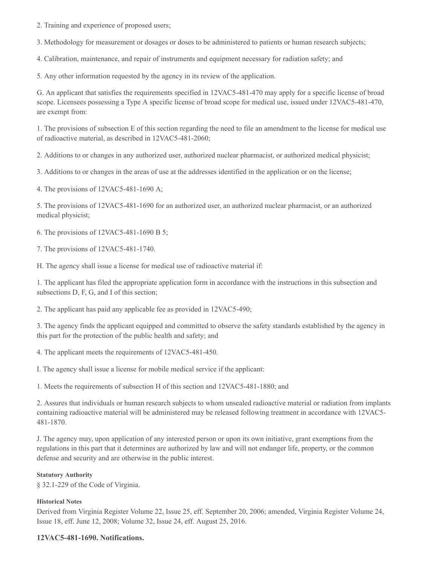2. Training and experience of proposed users;

3. Methodology for measurement or dosages or doses to be administered to patients or human research subjects;

4. Calibration, maintenance, and repair of instruments and equipment necessary for radiation safety; and

5. Any other information requested by the agency in its review of the application.

G. An applicant that satisfies the requirements specified in 12VAC5-481-470 may apply for a specific license of broad scope. Licensees possessing a Type A specific license of broad scope for medical use, issued under 12VAC5-481-470, are exempt from:

1. The provisions of subsection E of this section regarding the need to file an amendment to the license for medical use of radioactive material, as described in 12VAC5-481-2060;

2. Additions to or changes in any authorized user, authorized nuclear pharmacist, or authorized medical physicist;

3. Additions to or changes in the areas of use at the addresses identified in the application or on the license;

4. The provisions of 12VAC5-481-1690 A;

5. The provisions of 12VAC5-481-1690 for an authorized user, an authorized nuclear pharmacist, or an authorized medical physicist;

6. The provisions of 12VAC5-481-1690 B 5;

7. The provisions of 12VAC5-481-1740.

H. The agency shall issue a license for medical use of radioactive material if:

1. The applicant has filed the appropriate application form in accordance with the instructions in this subsection and subsections D, F, G, and I of this section;

2. The applicant has paid any applicable fee as provided in 12VAC5-490;

3. The agency finds the applicant equipped and committed to observe the safety standards established by the agency in this part for the protection of the public health and safety; and

4. The applicant meets the requirements of 12VAC5-481-450.

I. The agency shall issue a license for mobile medical service if the applicant:

1. Meets the requirements of subsection H of this section and 12VAC5-481-1880; and

2. Assures that individuals or human research subjects to whom unsealed radioactive material or radiation from implants containing radioactive material will be administered may be released following treatment in accordance with 12VAC5- 481-1870.

J. The agency may, upon application of any interested person or upon its own initiative, grant exemptions from the regulations in this part that it determines are authorized by law and will not endanger life, property, or the common defense and security and are otherwise in the public interest.

## **Statutory Authority**

§ 32.1-229 of the Code of Virginia.

## **Historical Notes**

Derived from Virginia Register Volume 22, Issue 25, eff. September 20, 2006; amended, Virginia Register Volume 24, Issue 18, eff. June 12, 2008; Volume 32, Issue 24, eff. August 25, 2016.

## **12VAC5-481-1690. Notifications.**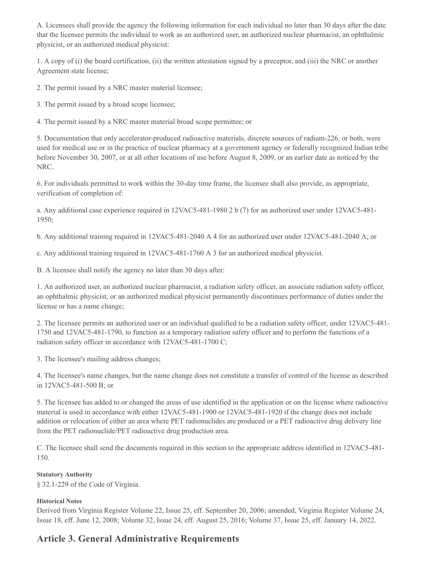A. Licensees shall provide the agency the following information for each individual no later than 30 days after the date that the licensee permits the individual to work as an authorized user, an authorized nuclear pharmacist, an ophthalmic physicist, or an authorized medical physicist:

1. A copy of (i) the board certification, (ii) the written attestation signed by a preceptor, and (iii) the NRC or another Agreement state license;

2. The permit issued by a NRC master material licensee;

3. The permit issued by a broad scope licensee;

4. The permit issued by a NRC master material broad scope permittee; or

5. Documentation that only accelerator-produced radioactive materials, discrete sources of radium-226, or both, were used for medical use or in the practice of nuclear pharmacy at a government agency or federally recognized Indian tribe before November 30, 2007, or at all other locations of use before August 8, 2009, or an earlier date as noticed by the NRC.

6. For individuals permitted to work within the 30-day time frame, the licensee shall also provide, as appropriate, verification of completion of:

a. Any additional case experience required in 12VAC5-481-1980 2 b (7) for an authorized user under 12VAC5-481- 1950;

b. Any additional training required in 12VAC5-481-2040 A 4 for an authorized user under 12VAC5-481-2040 A; or

c. Any additional training required in 12VAC5-481-1760 A 3 for an authorized medical physicist.

B. A licensee shall notify the agency no later than 30 days after:

1. An authorized user, an authorized nuclear pharmacist, a radiation safety officer, an associate radiation safety officer, an ophthalmic physicist, or an authorized medical physicist permanently discontinues performance of duties under the license or has a name change;

2. The licensee permits an authorized user or an individual qualified to be a radiation safety officer, under 12VAC5-481- 1750 and 12VAC5-481-1790, to function as a temporary radiation safety officer and to perform the functions of a radiation safety officer in accordance with 12VAC5-481-1700 C;

3. The licensee's mailing address changes;

4. The licensee's name changes, but the name change does not constitute a transfer of control of the license as described in 12VAC5-481-500 B; or

5. The licensee has added to or changed the areas of use identified in the application or on the license where radioactive material is used in accordance with either 12VAC5-481-1900 or 12VAC5-481-1920 if the change does not include addition or relocation of either an area where PET radionuclides are produced or a PET radioactive drug delivery line from the PET radionuclide/PET radioactive drug production area.

C. The licensee shall send the documents required in this section to the appropriate address identified in 12VAC5-481- 150.

## **Statutory Authority**

§ 32.1-229 of the Code of Virginia.

## **Historical Notes**

Derived from Virginia Register Volume 22, Issue 25, eff. September 20, 2006; amended, Virginia Register Volume 24, Issue 18, eff. June 12, 2008; Volume 32, Issue 24, eff. August 25, 2016; Volume 37, Issue 25, eff. January 14, 2022.

# **Article 3. General Administrative Requirements**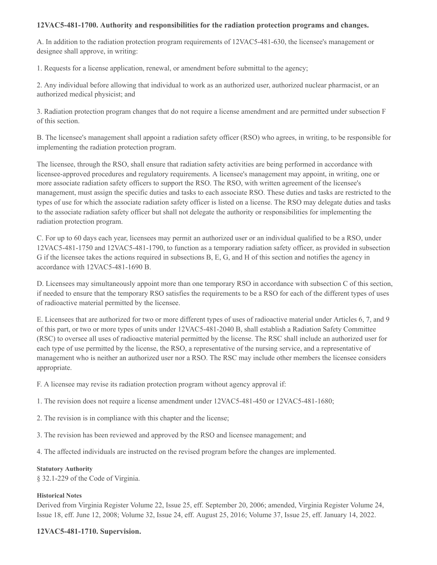## **12VAC5-481-1700. Authority and responsibilities for the radiation protection programs and changes.**

A. In addition to the radiation protection program requirements of 12VAC5-481-630, the licensee's management or designee shall approve, in writing:

1. Requests for a license application, renewal, or amendment before submittal to the agency;

2. Any individual before allowing that individual to work as an authorized user, authorized nuclear pharmacist, or an authorized medical physicist; and

3. Radiation protection program changes that do not require a license amendment and are permitted under subsection F of this section.

B. The licensee's management shall appoint a radiation safety officer (RSO) who agrees, in writing, to be responsible for implementing the radiation protection program.

The licensee, through the RSO, shall ensure that radiation safety activities are being performed in accordance with licensee-approved procedures and regulatory requirements. A licensee's management may appoint, in writing, one or more associate radiation safety officers to support the RSO. The RSO, with written agreement of the licensee's management, must assign the specific duties and tasks to each associate RSO. These duties and tasks are restricted to the types of use for which the associate radiation safety officer is listed on a license. The RSO may delegate duties and tasks to the associate radiation safety officer but shall not delegate the authority or responsibilities for implementing the radiation protection program.

C. For up to 60 days each year, licensees may permit an authorized user or an individual qualified to be a RSO, under 12VAC5-481-1750 and 12VAC5-481-1790, to function as a temporary radiation safety officer, as provided in subsection G if the licensee takes the actions required in subsections B, E, G, and H of this section and notifies the agency in accordance with 12VAC5-481-1690 B.

D. Licensees may simultaneously appoint more than one temporary RSO in accordance with subsection C of this section, if needed to ensure that the temporary RSO satisfies the requirements to be a RSO for each of the different types of uses of radioactive material permitted by the licensee.

E. Licensees that are authorized for two or more different types of uses of radioactive material under Articles 6, 7, and 9 of this part, or two or more types of units under 12VAC5-481-2040 B, shall establish a Radiation Safety Committee (RSC) to oversee all uses of radioactive material permitted by the license. The RSC shall include an authorized user for each type of use permitted by the license, the RSO, a representative of the nursing service, and a representative of management who is neither an authorized user nor a RSO. The RSC may include other members the licensee considers appropriate.

F. A licensee may revise its radiation protection program without agency approval if:

1. The revision does not require a license amendment under 12VAC5-481-450 or 12VAC5-481-1680;

2. The revision is in compliance with this chapter and the license;

3. The revision has been reviewed and approved by the RSO and licensee management; and

4. The affected individuals are instructed on the revised program before the changes are implemented.

#### **Statutory Authority**

§ 32.1-229 of the Code of Virginia.

#### **Historical Notes**

Derived from Virginia Register Volume 22, Issue 25, eff. September 20, 2006; amended, Virginia Register Volume 24, Issue 18, eff. June 12, 2008; Volume 32, Issue 24, eff. August 25, 2016; Volume 37, Issue 25, eff. January 14, 2022.

#### **12VAC5-481-1710. Supervision.**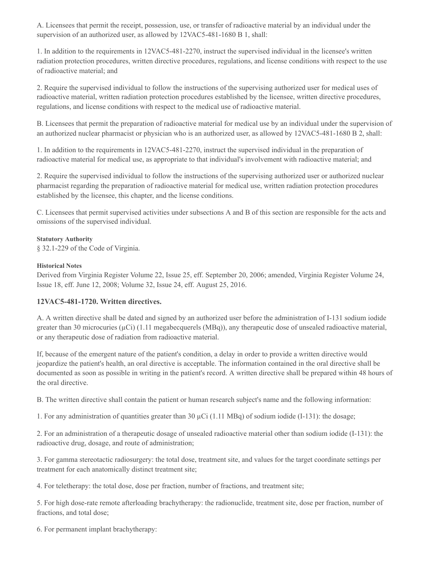A. Licensees that permit the receipt, possession, use, or transfer of radioactive material by an individual under the supervision of an authorized user, as allowed by 12VAC5-481-1680 B 1, shall:

1. In addition to the requirements in 12VAC5-481-2270, instruct the supervised individual in the licensee's written radiation protection procedures, written directive procedures, regulations, and license conditions with respect to the use of radioactive material; and

2. Require the supervised individual to follow the instructions of the supervising authorized user for medical uses of radioactive material, written radiation protection procedures established by the licensee, written directive procedures, regulations, and license conditions with respect to the medical use of radioactive material.

B. Licensees that permit the preparation of radioactive material for medical use by an individual under the supervision of an authorized nuclear pharmacist or physician who is an authorized user, as allowed by 12VAC5-481-1680 B 2, shall:

1. In addition to the requirements in 12VAC5-481-2270, instruct the supervised individual in the preparation of radioactive material for medical use, as appropriate to that individual's involvement with radioactive material; and

2. Require the supervised individual to follow the instructions of the supervising authorized user or authorized nuclear pharmacist regarding the preparation of radioactive material for medical use, written radiation protection procedures established by the licensee, this chapter, and the license conditions.

C. Licensees that permit supervised activities under subsections A and B of this section are responsible for the acts and omissions of the supervised individual.

#### **Statutory Authority**

§ 32.1-229 of the Code of Virginia.

#### **Historical Notes**

Derived from Virginia Register Volume 22, Issue 25, eff. September 20, 2006; amended, Virginia Register Volume 24, Issue 18, eff. June 12, 2008; Volume 32, Issue 24, eff. August 25, 2016.

## **12VAC5-481-1720. Written directives.**

A. A written directive shall be dated and signed by an authorized user before the administration of I-131 sodium iodide greater than 30 microcuries ( $\mu$ Ci) (1.11 megabecquerels (MBq)), any therapeutic dose of unsealed radioactive material, or any therapeutic dose of radiation from radioactive material.

If, because of the emergent nature of the patient's condition, a delay in order to provide a written directive would jeopardize the patient's health, an oral directive is acceptable. The information contained in the oral directive shall be documented as soon as possible in writing in the patient's record. A written directive shall be prepared within 48 hours of the oral directive.

B. The written directive shall contain the patient or human research subject's name and the following information:

1. For any administration of quantities greater than 30 µCi (1.11 MBq) of sodium iodide (I-131): the dosage;

2. For an administration of a therapeutic dosage of unsealed radioactive material other than sodium iodide (I-131): the radioactive drug, dosage, and route of administration;

3. For gamma stereotactic radiosurgery: the total dose, treatment site, and values for the target coordinate settings per treatment for each anatomically distinct treatment site;

4. For teletherapy: the total dose, dose per fraction, number of fractions, and treatment site;

5. For high dose-rate remote afterloading brachytherapy: the radionuclide, treatment site, dose per fraction, number of fractions, and total dose;

6. For permanent implant brachytherapy: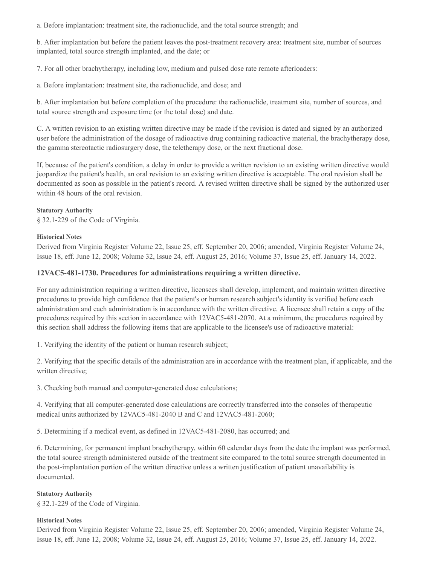a. Before implantation: treatment site, the radionuclide, and the total source strength; and

b. After implantation but before the patient leaves the post-treatment recovery area: treatment site, number of sources implanted, total source strength implanted, and the date; or

7. For all other brachytherapy, including low, medium and pulsed dose rate remote afterloaders:

a. Before implantation: treatment site, the radionuclide, and dose; and

b. After implantation but before completion of the procedure: the radionuclide, treatment site, number of sources, and total source strength and exposure time (or the total dose) and date.

C. A written revision to an existing written directive may be made if the revision is dated and signed by an authorized user before the administration of the dosage of radioactive drug containing radioactive material, the brachytherapy dose, the gamma stereotactic radiosurgery dose, the teletherapy dose, or the next fractional dose.

If, because of the patient's condition, a delay in order to provide a written revision to an existing written directive would jeopardize the patient's health, an oral revision to an existing written directive is acceptable. The oral revision shall be documented as soon as possible in the patient's record. A revised written directive shall be signed by the authorized user within 48 hours of the oral revision.

#### **Statutory Authority**

§ 32.1-229 of the Code of Virginia.

#### **Historical Notes**

Derived from Virginia Register Volume 22, Issue 25, eff. September 20, 2006; amended, Virginia Register Volume 24, Issue 18, eff. June 12, 2008; Volume 32, Issue 24, eff. August 25, 2016; Volume 37, Issue 25, eff. January 14, 2022.

## **12VAC5-481-1730. Procedures for administrations requiring a written directive.**

For any administration requiring a written directive, licensees shall develop, implement, and maintain written directive procedures to provide high confidence that the patient's or human research subject's identity is verified before each administration and each administration is in accordance with the written directive. A licensee shall retain a copy of the procedures required by this section in accordance with 12VAC5-481-2070. At a minimum, the procedures required by this section shall address the following items that are applicable to the licensee's use of radioactive material:

1. Verifying the identity of the patient or human research subject;

2. Verifying that the specific details of the administration are in accordance with the treatment plan, if applicable, and the written directive;

3. Checking both manual and computer-generated dose calculations;

4. Verifying that all computer-generated dose calculations are correctly transferred into the consoles of therapeutic medical units authorized by 12VAC5-481-2040 B and C and 12VAC5-481-2060;

5. Determining if a medical event, as defined in 12VAC5-481-2080, has occurred; and

6. Determining, for permanent implant brachytherapy, within 60 calendar days from the date the implant was performed, the total source strength administered outside of the treatment site compared to the total source strength documented in the post-implantation portion of the written directive unless a written justification of patient unavailability is documented.

## **Statutory Authority**

§ 32.1-229 of the Code of Virginia.

#### **Historical Notes**

Derived from Virginia Register Volume 22, Issue 25, eff. September 20, 2006; amended, Virginia Register Volume 24, Issue 18, eff. June 12, 2008; Volume 32, Issue 24, eff. August 25, 2016; Volume 37, Issue 25, eff. January 14, 2022.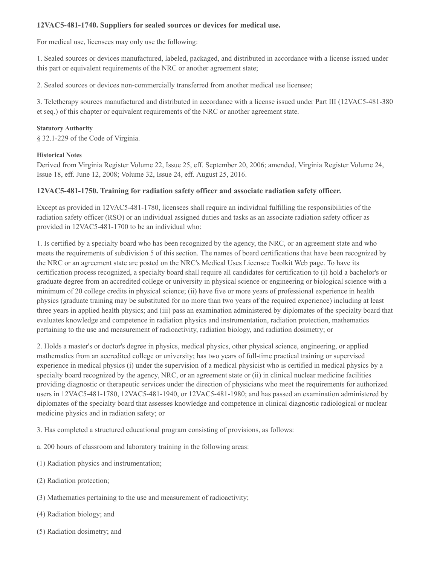## **12VAC5-481-1740. Suppliers for sealed sources or devices for medical use.**

For medical use, licensees may only use the following:

1. Sealed sources or devices manufactured, labeled, packaged, and distributed in accordance with a license issued under this part or equivalent requirements of the NRC or another agreement state;

2. Sealed sources or devices non-commercially transferred from another medical use licensee;

3. Teletherapy sources manufactured and distributed in accordance with a license issued under Part III (12VAC5-481-380 et seq.) of this chapter or equivalent requirements of the NRC or another agreement state.

#### **Statutory Authority**

§ 32.1-229 of the Code of Virginia.

#### **Historical Notes**

Derived from Virginia Register Volume 22, Issue 25, eff. September 20, 2006; amended, Virginia Register Volume 24, Issue 18, eff. June 12, 2008; Volume 32, Issue 24, eff. August 25, 2016.

## **12VAC5-481-1750. Training for radiation safety officer and associate radiation safety officer.**

Except as provided in 12VAC5-481-1780, licensees shall require an individual fulfilling the responsibilities of the radiation safety officer (RSO) or an individual assigned duties and tasks as an associate radiation safety officer as provided in 12VAC5-481-1700 to be an individual who:

1. Is certified by a specialty board who has been recognized by the agency, the NRC, or an agreement state and who meets the requirements of subdivision 5 of this section. The names of board certifications that have been recognized by the NRC or an agreement state are posted on the NRC's Medical Uses Licensee Toolkit Web page. To have its certification process recognized, a specialty board shall require all candidates for certification to (i) hold a bachelor's or graduate degree from an accredited college or university in physical science or engineering or biological science with a minimum of 20 college credits in physical science; (ii) have five or more years of professional experience in health physics (graduate training may be substituted for no more than two years of the required experience) including at least three years in applied health physics; and (iii) pass an examination administered by diplomates of the specialty board that evaluates knowledge and competence in radiation physics and instrumentation, radiation protection, mathematics pertaining to the use and measurement of radioactivity, radiation biology, and radiation dosimetry; or

2. Holds a master's or doctor's degree in physics, medical physics, other physical science, engineering, or applied mathematics from an accredited college or university; has two years of full-time practical training or supervised experience in medical physics (i) under the supervision of a medical physicist who is certified in medical physics by a specialty board recognized by the agency, NRC, or an agreement state or (ii) in clinical nuclear medicine facilities providing diagnostic or therapeutic services under the direction of physicians who meet the requirements for authorized users in 12VAC5-481-1780, 12VAC5-481-1940, or 12VAC5-481-1980; and has passed an examination administered by diplomates of the specialty board that assesses knowledge and competence in clinical diagnostic radiological or nuclear medicine physics and in radiation safety; or

3. Has completed a structured educational program consisting of provisions, as follows:

- a. 200 hours of classroom and laboratory training in the following areas:
- (1) Radiation physics and instrumentation;
- (2) Radiation protection;
- (3) Mathematics pertaining to the use and measurement of radioactivity;
- (4) Radiation biology; and
- (5) Radiation dosimetry; and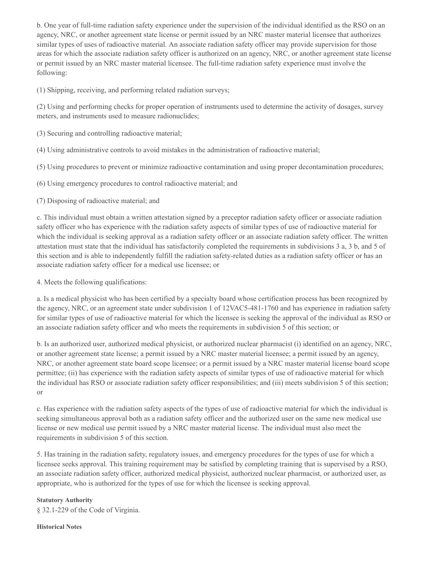b. One year of full-time radiation safety experience under the supervision of the individual identified as the RSO on an agency, NRC, or another agreement state license or permit issued by an NRC master material licensee that authorizes similar types of uses of radioactive material. An associate radiation safety officer may provide supervision for those areas for which the associate radiation safety officer is authorized on an agency, NRC, or another agreement state license or permit issued by an NRC master material licensee. The full-time radiation safety experience must involve the following:

(1) Shipping, receiving, and performing related radiation surveys;

(2) Using and performing checks for proper operation of instruments used to determine the activity of dosages, survey meters, and instruments used to measure radionuclides;

- (3) Securing and controlling radioactive material;
- (4) Using administrative controls to avoid mistakes in the administration of radioactive material;
- (5) Using procedures to prevent or minimize radioactive contamination and using proper decontamination procedures;
- (6) Using emergency procedures to control radioactive material; and
- (7) Disposing of radioactive material; and

c. This individual must obtain a written attestation signed by a preceptor radiation safety officer or associate radiation safety officer who has experience with the radiation safety aspects of similar types of use of radioactive material for which the individual is seeking approval as a radiation safety officer or an associate radiation safety officer. The written attestation must state that the individual has satisfactorily completed the requirements in subdivisions 3 a, 3 b, and 5 of this section and is able to independently fulfill the radiation safety-related duties as a radiation safety officer or has an associate radiation safety officer for a medical use licensee; or

4. Meets the following qualifications:

a. Is a medical physicist who has been certified by a specialty board whose certification process has been recognized by the agency, NRC, or an agreement state under subdivision 1 of 12VAC5-481-1760 and has experience in radiation safety for similar types of use of radioactive material for which the licensee is seeking the approval of the individual as RSO or an associate radiation safety officer and who meets the requirements in subdivision 5 of this section; or

b. Is an authorized user, authorized medical physicist, or authorized nuclear pharmacist (i) identified on an agency, NRC, or another agreement state license; a permit issued by a NRC master material licensee; a permit issued by an agency, NRC, or another agreement state board scope licensee; or a permit issued by a NRC master material license board scope permittee; (ii) has experience with the radiation safety aspects of similar types of use of radioactive material for which the individual has RSO or associate radiation safety officer responsibilities; and (iii) meets subdivision 5 of this section; or

c. Has experience with the radiation safety aspects of the types of use of radioactive material for which the individual is seeking simultaneous approval both as a radiation safety officer and the authorized user on the same new medical use license or new medical use permit issued by a NRC master material license. The individual must also meet the requirements in subdivision 5 of this section.

5. Has training in the radiation safety, regulatory issues, and emergency procedures for the types of use for which a licensee seeks approval. This training requirement may be satisfied by completing training that is supervised by a RSO, an associate radiation safety officer, authorized medical physicist, authorized nuclear pharmacist, or authorized user, as appropriate, who is authorized for the types of use for which the licensee is seeking approval.

## **Statutory Authority**

§ 32.1-229 of the Code of Virginia.

#### **Historical Notes**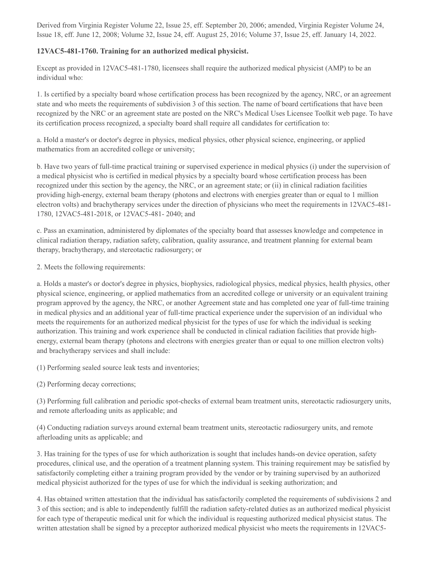Derived from Virginia Register Volume 22, Issue 25, eff. September 20, 2006; amended, Virginia Register Volume 24, Issue 18, eff. June 12, 2008; Volume 32, Issue 24, eff. August 25, 2016; Volume 37, Issue 25, eff. January 14, 2022.

## **12VAC5-481-1760. Training for an authorized medical physicist.**

Except as provided in 12VAC5-481-1780, licensees shall require the authorized medical physicist (AMP) to be an individual who:

1. Is certified by a specialty board whose certification process has been recognized by the agency, NRC, or an agreement state and who meets the requirements of subdivision 3 of this section. The name of board certifications that have been recognized by the NRC or an agreement state are posted on the NRC's Medical Uses Licensee Toolkit web page. To have its certification process recognized, a specialty board shall require all candidates for certification to:

a. Hold a master's or doctor's degree in physics, medical physics, other physical science, engineering, or applied mathematics from an accredited college or university;

b. Have two years of full-time practical training or supervised experience in medical physics (i) under the supervision of a medical physicist who is certified in medical physics by a specialty board whose certification process has been recognized under this section by the agency, the NRC, or an agreement state; or (ii) in clinical radiation facilities providing high-energy, external beam therapy (photons and electrons with energies greater than or equal to 1 million electron volts) and brachytherapy services under the direction of physicians who meet the requirements in 12VAC5-481- 1780, 12VAC5-481-2018, or 12VAC5-481- 2040; and

c. Pass an examination, administered by diplomates of the specialty board that assesses knowledge and competence in clinical radiation therapy, radiation safety, calibration, quality assurance, and treatment planning for external beam therapy, brachytherapy, and stereotactic radiosurgery; or

2. Meets the following requirements:

a. Holds a master's or doctor's degree in physics, biophysics, radiological physics, medical physics, health physics, other physical science, engineering, or applied mathematics from an accredited college or university or an equivalent training program approved by the agency, the NRC, or another Agreement state and has completed one year of full-time training in medical physics and an additional year of full-time practical experience under the supervision of an individual who meets the requirements for an authorized medical physicist for the types of use for which the individual is seeking authorization. This training and work experience shall be conducted in clinical radiation facilities that provide highenergy, external beam therapy (photons and electrons with energies greater than or equal to one million electron volts) and brachytherapy services and shall include:

(1) Performing sealed source leak tests and inventories;

(2) Performing decay corrections;

(3) Performing full calibration and periodic spot-checks of external beam treatment units, stereotactic radiosurgery units, and remote afterloading units as applicable; and

(4) Conducting radiation surveys around external beam treatment units, stereotactic radiosurgery units, and remote afterloading units as applicable; and

3. Has training for the types of use for which authorization is sought that includes hands-on device operation, safety procedures, clinical use, and the operation of a treatment planning system. This training requirement may be satisfied by satisfactorily completing either a training program provided by the vendor or by training supervised by an authorized medical physicist authorized for the types of use for which the individual is seeking authorization; and

4. Has obtained written attestation that the individual has satisfactorily completed the requirements of subdivisions 2 and 3 of this section; and is able to independently fulfill the radiation safety-related duties as an authorized medical physicist for each type of therapeutic medical unit for which the individual is requesting authorized medical physicist status. The written attestation shall be signed by a preceptor authorized medical physicist who meets the requirements in 12VAC5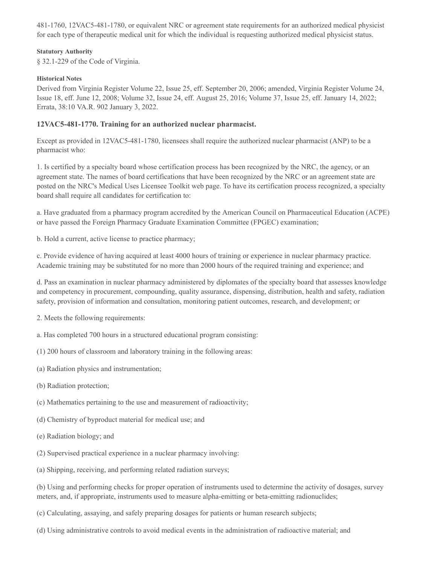481-1760, 12VAC5-481-1780, or equivalent NRC or agreement state requirements for an authorized medical physicist for each type of therapeutic medical unit for which the individual is requesting authorized medical physicist status.

#### **Statutory Authority**

§ 32.1-229 of the Code of Virginia.

### **Historical Notes**

Derived from Virginia Register Volume 22, Issue 25, eff. September 20, 2006; amended, Virginia Register Volume 24, Issue 18, eff. June 12, 2008; Volume 32, Issue 24, eff. August 25, 2016; Volume 37, Issue 25, eff. January 14, 2022; Errata, 38:10 VA.R. 902 January 3, 2022.

## **12VAC5-481-1770. Training for an authorized nuclear pharmacist.**

Except as provided in 12VAC5-481-1780, licensees shall require the authorized nuclear pharmacist (ANP) to be a pharmacist who:

1. Is certified by a specialty board whose certification process has been recognized by the NRC, the agency, or an agreement state. The names of board certifications that have been recognized by the NRC or an agreement state are posted on the NRC's Medical Uses Licensee Toolkit web page. To have its certification process recognized, a specialty board shall require all candidates for certification to:

a. Have graduated from a pharmacy program accredited by the American Council on Pharmaceutical Education (ACPE) or have passed the Foreign Pharmacy Graduate Examination Committee (FPGEC) examination;

b. Hold a current, active license to practice pharmacy;

c. Provide evidence of having acquired at least 4000 hours of training or experience in nuclear pharmacy practice. Academic training may be substituted for no more than 2000 hours of the required training and experience; and

d. Pass an examination in nuclear pharmacy administered by diplomates of the specialty board that assesses knowledge and competency in procurement, compounding, quality assurance, dispensing, distribution, health and safety, radiation safety, provision of information and consultation, monitoring patient outcomes, research, and development; or

2. Meets the following requirements:

a. Has completed 700 hours in a structured educational program consisting:

- (1) 200 hours of classroom and laboratory training in the following areas:
- (a) Radiation physics and instrumentation;
- (b) Radiation protection;
- (c) Mathematics pertaining to the use and measurement of radioactivity;
- (d) Chemistry of byproduct material for medical use; and
- (e) Radiation biology; and
- (2) Supervised practical experience in a nuclear pharmacy involving:
- (a) Shipping, receiving, and performing related radiation surveys;

(b) Using and performing checks for proper operation of instruments used to determine the activity of dosages, survey meters, and, if appropriate, instruments used to measure alpha-emitting or beta-emitting radionuclides;

- (c) Calculating, assaying, and safely preparing dosages for patients or human research subjects;
- (d) Using administrative controls to avoid medical events in the administration of radioactive material; and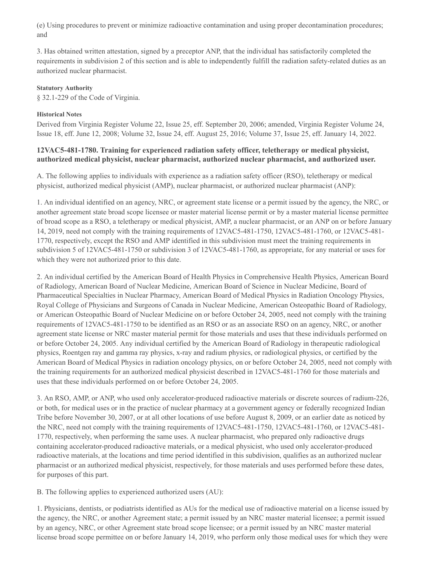(e) Using procedures to prevent or minimize radioactive contamination and using proper decontamination procedures; and

3. Has obtained written attestation, signed by a preceptor ANP, that the individual has satisfactorily completed the requirements in subdivision 2 of this section and is able to independently fulfill the radiation safety-related duties as an authorized nuclear pharmacist.

#### **Statutory Authority**

§ 32.1-229 of the Code of Virginia.

### **Historical Notes**

Derived from Virginia Register Volume 22, Issue 25, eff. September 20, 2006; amended, Virginia Register Volume 24, Issue 18, eff. June 12, 2008; Volume 32, Issue 24, eff. August 25, 2016; Volume 37, Issue 25, eff. January 14, 2022.

## **12VAC5-481-1780. Training for experienced radiation safety officer, teletherapy or medical physicist, authorized medical physicist, nuclear pharmacist, authorized nuclear pharmacist, and authorized user.**

A. The following applies to individuals with experience as a radiation safety officer (RSO), teletherapy or medical physicist, authorized medical physicist (AMP), nuclear pharmacist, or authorized nuclear pharmacist (ANP):

1. An individual identified on an agency, NRC, or agreement state license or a permit issued by the agency, the NRC, or another agreement state broad scope licensee or master material license permit or by a master material license permittee of broad scope as a RSO, a teletherapy or medical physicist, AMP, a nuclear pharmacist, or an ANP on or before January 14, 2019, need not comply with the training requirements of 12VAC5-481-1750, 12VAC5-481-1760, or 12VAC5-481- 1770, respectively, except the RSO and AMP identified in this subdivision must meet the training requirements in subdivision 5 of 12VAC5-481-1750 or subdivision 3 of 12VAC5-481-1760, as appropriate, for any material or uses for which they were not authorized prior to this date.

2. An individual certified by the American Board of Health Physics in Comprehensive Health Physics, American Board of Radiology, American Board of Nuclear Medicine, American Board of Science in Nuclear Medicine, Board of Pharmaceutical Specialties in Nuclear Pharmacy, American Board of Medical Physics in Radiation Oncology Physics, Royal College of Physicians and Surgeons of Canada in Nuclear Medicine, American Osteopathic Board of Radiology, or American Osteopathic Board of Nuclear Medicine on or before October 24, 2005, need not comply with the training requirements of 12VAC5-481-1750 to be identified as an RSO or as an associate RSO on an agency, NRC, or another agreement state license or NRC master material permit for those materials and uses that these individuals performed on or before October 24, 2005. Any individual certified by the American Board of Radiology in therapeutic radiological physics, Roentgen ray and gamma ray physics, x-ray and radium physics, or radiological physics, or certified by the American Board of Medical Physics in radiation oncology physics, on or before October 24, 2005, need not comply with the training requirements for an authorized medical physicist described in 12VAC5-481-1760 for those materials and uses that these individuals performed on or before October 24, 2005.

3. An RSO, AMP, or ANP, who used only accelerator-produced radioactive materials or discrete sources of radium-226, or both, for medical uses or in the practice of nuclear pharmacy at a government agency or federally recognized Indian Tribe before November 30, 2007, or at all other locations of use before August 8, 2009, or an earlier date as noticed by the NRC, need not comply with the training requirements of 12VAC5-481-1750, 12VAC5-481-1760, or 12VAC5-481- 1770, respectively, when performing the same uses. A nuclear pharmacist, who prepared only radioactive drugs containing accelerator-produced radioactive materials, or a medical physicist, who used only accelerator-produced radioactive materials, at the locations and time period identified in this subdivision, qualifies as an authorized nuclear pharmacist or an authorized medical physicist, respectively, for those materials and uses performed before these dates, for purposes of this part.

B. The following applies to experienced authorized users (AU):

1. Physicians, dentists, or podiatrists identified as AUs for the medical use of radioactive material on a license issued by the agency, the NRC, or another Agreement state; a permit issued by an NRC master material licensee; a permit issued by an agency, NRC, or other Agreement state broad scope licensee; or a permit issued by an NRC master material license broad scope permittee on or before January 14, 2019, who perform only those medical uses for which they were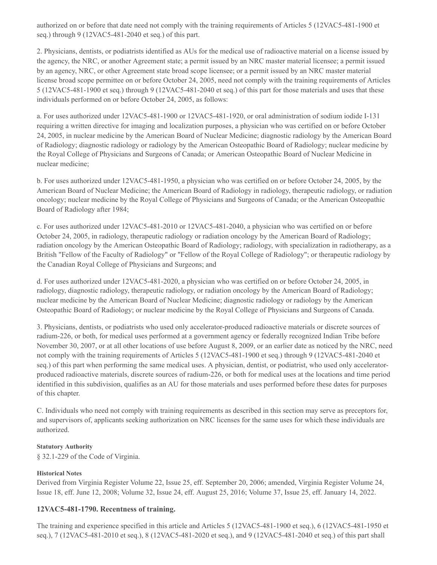authorized on or before that date need not comply with the training requirements of Articles 5 (12VAC5-481-1900 et seq.) through 9 (12VAC5-481-2040 et seq.) of this part.

2. Physicians, dentists, or podiatrists identified as AUs for the medical use of radioactive material on a license issued by the agency, the NRC, or another Agreement state; a permit issued by an NRC master material licensee; a permit issued by an agency, NRC, or other Agreement state broad scope licensee; or a permit issued by an NRC master material license broad scope permittee on or before October 24, 2005, need not comply with the training requirements of Articles 5 (12VAC5-481-1900 et seq.) through 9 (12VAC5-481-2040 et seq.) of this part for those materials and uses that these individuals performed on or before October 24, 2005, as follows:

a. For uses authorized under 12VAC5-481-1900 or 12VAC5-481-1920, or oral administration of sodium iodide I-131 requiring a written directive for imaging and localization purposes, a physician who was certified on or before October 24, 2005, in nuclear medicine by the American Board of Nuclear Medicine; diagnostic radiology by the American Board of Radiology; diagnostic radiology or radiology by the American Osteopathic Board of Radiology; nuclear medicine by the Royal College of Physicians and Surgeons of Canada; or American Osteopathic Board of Nuclear Medicine in nuclear medicine;

b. For uses authorized under 12VAC5-481-1950, a physician who was certified on or before October 24, 2005, by the American Board of Nuclear Medicine; the American Board of Radiology in radiology, therapeutic radiology, or radiation oncology; nuclear medicine by the Royal College of Physicians and Surgeons of Canada; or the American Osteopathic Board of Radiology after 1984;

c. For uses authorized under 12VAC5-481-2010 or 12VAC5-481-2040, a physician who was certified on or before October 24, 2005, in radiology, therapeutic radiology or radiation oncology by the American Board of Radiology; radiation oncology by the American Osteopathic Board of Radiology; radiology, with specialization in radiotherapy, as a British "Fellow of the Faculty of Radiology" or "Fellow of the Royal College of Radiology"; or therapeutic radiology by the Canadian Royal College of Physicians and Surgeons; and

d. For uses authorized under 12VAC5-481-2020, a physician who was certified on or before October 24, 2005, in radiology, diagnostic radiology, therapeutic radiology, or radiation oncology by the American Board of Radiology; nuclear medicine by the American Board of Nuclear Medicine; diagnostic radiology or radiology by the American Osteopathic Board of Radiology; or nuclear medicine by the Royal College of Physicians and Surgeons of Canada.

3. Physicians, dentists, or podiatrists who used only accelerator-produced radioactive materials or discrete sources of radium-226, or both, for medical uses performed at a government agency or federally recognized Indian Tribe before November 30, 2007, or at all other locations of use before August 8, 2009, or an earlier date as noticed by the NRC, need not comply with the training requirements of Articles 5 (12VAC5-481-1900 et seq.) through 9 (12VAC5-481-2040 et seq.) of this part when performing the same medical uses. A physician, dentist, or podiatrist, who used only acceleratorproduced radioactive materials, discrete sources of radium-226, or both for medical uses at the locations and time period identified in this subdivision, qualifies as an AU for those materials and uses performed before these dates for purposes of this chapter.

C. Individuals who need not comply with training requirements as described in this section may serve as preceptors for, and supervisors of, applicants seeking authorization on NRC licenses for the same uses for which these individuals are authorized.

#### **Statutory Authority**

§ 32.1-229 of the Code of Virginia.

## **Historical Notes**

Derived from Virginia Register Volume 22, Issue 25, eff. September 20, 2006; amended, Virginia Register Volume 24, Issue 18, eff. June 12, 2008; Volume 32, Issue 24, eff. August 25, 2016; Volume 37, Issue 25, eff. January 14, 2022.

## **12VAC5-481-1790. Recentness of training.**

The training and experience specified in this article and Articles 5 (12VAC5-481-1900 et seq.), 6 (12VAC5-481-1950 et seq.), 7 (12VAC5-481-2010 et seq.), 8 (12VAC5-481-2020 et seq.), and 9 (12VAC5-481-2040 et seq.) of this part shall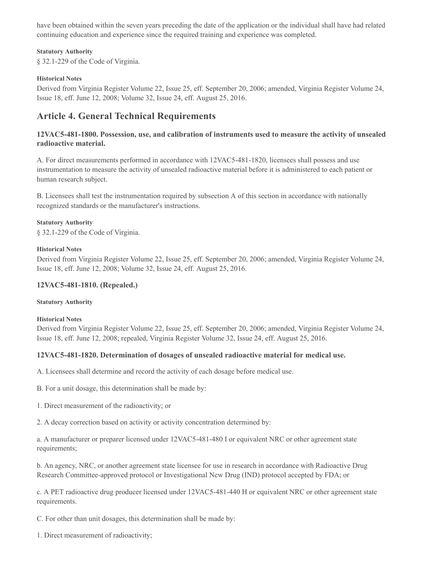have been obtained within the seven years preceding the date of the application or the individual shall have had related continuing education and experience since the required training and experience was completed.

#### **Statutory Authority**

§ 32.1-229 of the Code of Virginia.

#### **Historical Notes**

Derived from Virginia Register Volume 22, Issue 25, eff. September 20, 2006; amended, Virginia Register Volume 24, Issue 18, eff. June 12, 2008; Volume 32, Issue 24, eff. August 25, 2016.

# **Article 4. General Technical Requirements**

## **12VAC5-481-1800. Possession, use, and calibration of instruments used to measure the activity of unsealed radioactive material.**

A. For direct measurements performed in accordance with 12VAC5-481-1820, licensees shall possess and use instrumentation to measure the activity of unsealed radioactive material before it is administered to each patient or human research subject.

B. Licensees shall test the instrumentation required by subsection A of this section in accordance with nationally recognized standards or the manufacturer's instructions.

#### **Statutory Authority**

§ 32.1-229 of the Code of Virginia.

#### **Historical Notes**

Derived from Virginia Register Volume 22, Issue 25, eff. September 20, 2006; amended, Virginia Register Volume 24, Issue 18, eff. June 12, 2008; Volume 32, Issue 24, eff. August 25, 2016.

## **12VAC5-481-1810. (Repealed.)**

#### **Statutory Authority**

#### **Historical Notes**

Derived from Virginia Register Volume 22, Issue 25, eff. September 20, 2006; amended, Virginia Register Volume 24, Issue 18, eff. June 12, 2008; repealed, Virginia Register Volume 32, Issue 24, eff. August 25, 2016.

## **12VAC5-481-1820. Determination of dosages of unsealed radioactive material for medical use.**

A. Licensees shall determine and record the activity of each dosage before medical use.

B. For a unit dosage, this determination shall be made by:

1. Direct measurement of the radioactivity; or

2. A decay correction based on activity or activity concentration determined by:

a. A manufacturer or preparer licensed under 12VAC5-481-480 I or equivalent NRC or other agreement state requirements;

b. An agency, NRC, or another agreement state licensee for use in research in accordance with Radioactive Drug Research Committee-approved protocol or Investigational New Drug (IND) protocol accepted by FDA; or

c. A PET radioactive drug producer licensed under 12VAC5-481-440 H or equivalent NRC or other agreement state requirements.

C. For other than unit dosages, this determination shall be made by:

1. Direct measurement of radioactivity;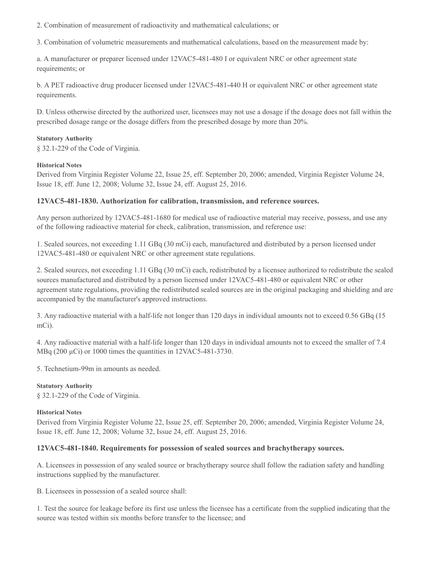2. Combination of measurement of radioactivity and mathematical calculations; or

3. Combination of volumetric measurements and mathematical calculations, based on the measurement made by:

a. A manufacturer or preparer licensed under 12VAC5-481-480 I or equivalent NRC or other agreement state requirements; or

b. A PET radioactive drug producer licensed under 12VAC5-481-440 H or equivalent NRC or other agreement state requirements.

D. Unless otherwise directed by the authorized user, licensees may not use a dosage if the dosage does not fall within the prescribed dosage range or the dosage differs from the prescribed dosage by more than 20%.

#### **Statutory Authority**

§ 32.1-229 of the Code of Virginia.

#### **Historical Notes**

Derived from Virginia Register Volume 22, Issue 25, eff. September 20, 2006; amended, Virginia Register Volume 24, Issue 18, eff. June 12, 2008; Volume 32, Issue 24, eff. August 25, 2016.

#### **12VAC5-481-1830. Authorization for calibration, transmission, and reference sources.**

Any person authorized by 12VAC5-481-1680 for medical use of radioactive material may receive, possess, and use any of the following radioactive material for check, calibration, transmission, and reference use:

1. Sealed sources, not exceeding 1.11 GBq (30 mCi) each, manufactured and distributed by a person licensed under 12VAC5-481-480 or equivalent NRC or other agreement state regulations.

2. Sealed sources, not exceeding 1.11 GBq (30 mCi) each, redistributed by a licensee authorized to redistribute the sealed sources manufactured and distributed by a person licensed under 12VAC5-481-480 or equivalent NRC or other agreement state regulations, providing the redistributed sealed sources are in the original packaging and shielding and are accompanied by the manufacturer's approved instructions.

3. Any radioactive material with a half-life not longer than 120 days in individual amounts not to exceed 0.56 GBq (15 mCi).

4. Any radioactive material with a half-life longer than 120 days in individual amounts not to exceed the smaller of 7.4 MBq (200  $\mu$ Ci) or 1000 times the quantities in 12VAC5-481-3730.

5. Technetium-99m in amounts as needed.

#### **Statutory Authority**

§ 32.1-229 of the Code of Virginia.

#### **Historical Notes**

Derived from Virginia Register Volume 22, Issue 25, eff. September 20, 2006; amended, Virginia Register Volume 24, Issue 18, eff. June 12, 2008; Volume 32, Issue 24, eff. August 25, 2016.

## **12VAC5-481-1840. Requirements for possession of sealed sources and brachytherapy sources.**

A. Licensees in possession of any sealed source or brachytherapy source shall follow the radiation safety and handling instructions supplied by the manufacturer.

B. Licensees in possession of a sealed source shall:

1. Test the source for leakage before its first use unless the licensee has a certificate from the supplied indicating that the source was tested within six months before transfer to the licensee; and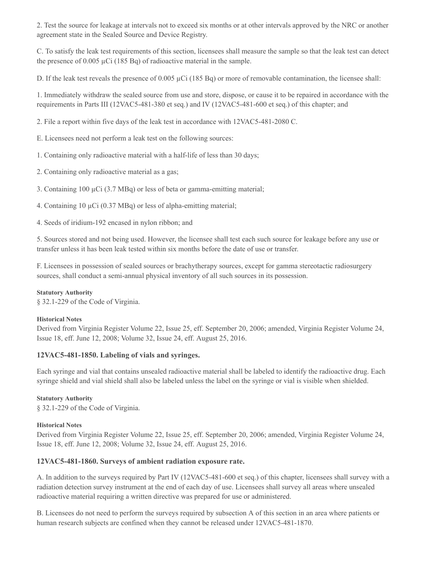2. Test the source for leakage at intervals not to exceed six months or at other intervals approved by the NRC or another agreement state in the Sealed Source and Device Registry.

C. To satisfy the leak test requirements of this section, licensees shall measure the sample so that the leak test can detect the presence of  $0.005 \mu$ Ci (185 Bq) of radioactive material in the sample.

D. If the leak test reveals the presence of 0.005  $\mu$ Ci (185 Bq) or more of removable contamination, the licensee shall:

1. Immediately withdraw the sealed source from use and store, dispose, or cause it to be repaired in accordance with the requirements in Parts III (12VAC5-481-380 et seq.) and IV (12VAC5-481-600 et seq.) of this chapter; and

2. File a report within five days of the leak test in accordance with 12VAC5-481-2080 C.

E. Licensees need not perform a leak test on the following sources:

1. Containing only radioactive material with a half-life of less than 30 days;

2. Containing only radioactive material as a gas;

3. Containing 100 µCi (3.7 MBq) or less of beta or gamma-emitting material;

4. Containing 10  $\mu$ Ci (0.37 MBq) or less of alpha-emitting material;

4. Seeds of iridium-192 encased in nylon ribbon; and

5. Sources stored and not being used. However, the licensee shall test each such source for leakage before any use or transfer unless it has been leak tested within six months before the date of use or transfer.

F. Licensees in possession of sealed sources or brachytherapy sources, except for gamma stereotactic radiosurgery sources, shall conduct a semi-annual physical inventory of all such sources in its possession.

#### **Statutory Authority**

§ 32.1-229 of the Code of Virginia.

#### **Historical Notes**

Derived from Virginia Register Volume 22, Issue 25, eff. September 20, 2006; amended, Virginia Register Volume 24, Issue 18, eff. June 12, 2008; Volume 32, Issue 24, eff. August 25, 2016.

#### **12VAC5-481-1850. Labeling of vials and syringes.**

Each syringe and vial that contains unsealed radioactive material shall be labeled to identify the radioactive drug. Each syringe shield and vial shield shall also be labeled unless the label on the syringe or vial is visible when shielded.

#### **Statutory Authority**

§ 32.1-229 of the Code of Virginia.

#### **Historical Notes**

Derived from Virginia Register Volume 22, Issue 25, eff. September 20, 2006; amended, Virginia Register Volume 24, Issue 18, eff. June 12, 2008; Volume 32, Issue 24, eff. August 25, 2016.

## **12VAC5-481-1860. Surveys of ambient radiation exposure rate.**

A. In addition to the surveys required by Part IV (12VAC5-481-600 et seq.) of this chapter, licensees shall survey with a radiation detection survey instrument at the end of each day of use. Licensees shall survey all areas where unsealed radioactive material requiring a written directive was prepared for use or administered.

B. Licensees do not need to perform the surveys required by subsection A of this section in an area where patients or human research subjects are confined when they cannot be released under 12VAC5-481-1870.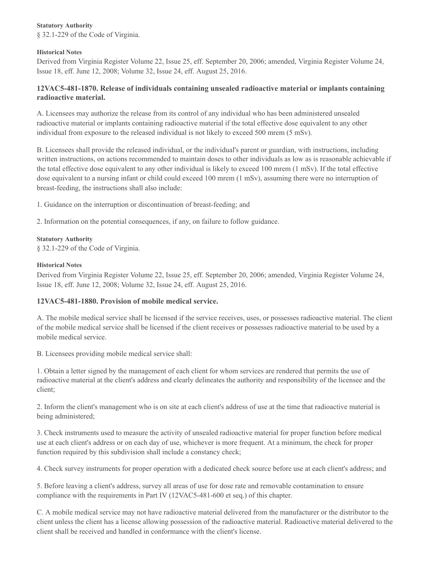## **Statutory Authority**

§ 32.1-229 of the Code of Virginia.

#### **Historical Notes**

Derived from Virginia Register Volume 22, Issue 25, eff. September 20, 2006; amended, Virginia Register Volume 24, Issue 18, eff. June 12, 2008; Volume 32, Issue 24, eff. August 25, 2016.

## **12VAC5-481-1870. Release of individuals containing unsealed radioactive material or implants containing radioactive material.**

A. Licensees may authorize the release from its control of any individual who has been administered unsealed radioactive material or implants containing radioactive material if the total effective dose equivalent to any other individual from exposure to the released individual is not likely to exceed 500 mrem (5 mSv).

B. Licensees shall provide the released individual, or the individual's parent or guardian, with instructions, including written instructions, on actions recommended to maintain doses to other individuals as low as is reasonable achievable if the total effective dose equivalent to any other individual is likely to exceed 100 mrem (1 mSv). If the total effective dose equivalent to a nursing infant or child could exceed 100 mrem (1 mSv), assuming there were no interruption of breast-feeding, the instructions shall also include:

1. Guidance on the interruption or discontinuation of breast-feeding; and

2. Information on the potential consequences, if any, on failure to follow guidance.

#### **Statutory Authority**

§ 32.1-229 of the Code of Virginia.

#### **Historical Notes**

Derived from Virginia Register Volume 22, Issue 25, eff. September 20, 2006; amended, Virginia Register Volume 24, Issue 18, eff. June 12, 2008; Volume 32, Issue 24, eff. August 25, 2016.

## **12VAC5-481-1880. Provision of mobile medical service.**

A. The mobile medical service shall be licensed if the service receives, uses, or possesses radioactive material. The client of the mobile medical service shall be licensed if the client receives or possesses radioactive material to be used by a mobile medical service.

B. Licensees providing mobile medical service shall:

1. Obtain a letter signed by the management of each client for whom services are rendered that permits the use of radioactive material at the client's address and clearly delineates the authority and responsibility of the licensee and the client;

2. Inform the client's management who is on site at each client's address of use at the time that radioactive material is being administered;

3. Check instruments used to measure the activity of unsealed radioactive material for proper function before medical use at each client's address or on each day of use, whichever is more frequent. At a minimum, the check for proper function required by this subdivision shall include a constancy check;

4. Check survey instruments for proper operation with a dedicated check source before use at each client's address; and

5. Before leaving a client's address, survey all areas of use for dose rate and removable contamination to ensure compliance with the requirements in Part IV (12VAC5-481-600 et seq.) of this chapter.

C. A mobile medical service may not have radioactive material delivered from the manufacturer or the distributor to the client unless the client has a license allowing possession of the radioactive material. Radioactive material delivered to the client shall be received and handled in conformance with the client's license.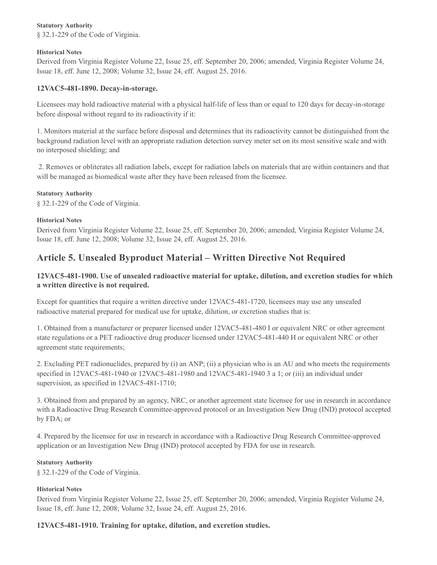### **Statutory Authority**

§ 32.1-229 of the Code of Virginia.

#### **Historical Notes**

Derived from Virginia Register Volume 22, Issue 25, eff. September 20, 2006; amended, Virginia Register Volume 24, Issue 18, eff. June 12, 2008; Volume 32, Issue 24, eff. August 25, 2016.

## **12VAC5-481-1890. Decay-in-storage.**

Licensees may hold radioactive material with a physical half-life of less than or equal to 120 days for decay-in-storage before disposal without regard to its radioactivity if it:

1. Monitors material at the surface before disposal and determines that its radioactivity cannot be distinguished from the background radiation level with an appropriate radiation detection survey meter set on its most sensitive scale and with no interposed shielding; and

2. Removes or obliterates all radiation labels, except for radiation labels on materials that are within containers and that will be managed as biomedical waste after they have been released from the licensee.

#### **Statutory Authority**

§ 32.1-229 of the Code of Virginia.

#### **Historical Notes**

Derived from Virginia Register Volume 22, Issue 25, eff. September 20, 2006; amended, Virginia Register Volume 24, Issue 18, eff. June 12, 2008; Volume 32, Issue 24, eff. August 25, 2016.

# **Article 5. Unsealed Byproduct Material – Written Directive Not Required**

## **12VAC5-481-1900. Use of unsealed radioactive material for uptake, dilution, and excretion studies for which a written directive is not required.**

Except for quantities that require a written directive under 12VAC5-481-1720, licensees may use any unsealed radioactive material prepared for medical use for uptake, dilution, or excretion studies that is:

1. Obtained from a manufacturer or preparer licensed under 12VAC5-481-480 I or equivalent NRC or other agreement state regulations or a PET radioactive drug producer licensed under 12VAC5-481-440 H or equivalent NRC or other agreement state requirements;

2. Excluding PET radionuclides, prepared by (i) an ANP; (ii) a physician who is an AU and who meets the requirements specified in 12VAC5-481-1940 or 12VAC5-481-1980 and 12VAC5-481-1940 3 a 1; or (iii) an individual under supervision, as specified in 12VAC5-481-1710;

3. Obtained from and prepared by an agency, NRC, or another agreement state licensee for use in research in accordance with a Radioactive Drug Research Committee-approved protocol or an Investigation New Drug (IND) protocol accepted by FDA; or

4. Prepared by the licensee for use in research in accordance with a Radioactive Drug Research Committee-approved application or an Investigation New Drug (IND) protocol accepted by FDA for use in research.

#### **Statutory Authority**

§ 32.1-229 of the Code of Virginia.

## **Historical Notes**

Derived from Virginia Register Volume 22, Issue 25, eff. September 20, 2006; amended, Virginia Register Volume 24, Issue 18, eff. June 12, 2008; Volume 32, Issue 24, eff. August 25, 2016.

## **12VAC5-481-1910. Training for uptake, dilution, and excretion studies.**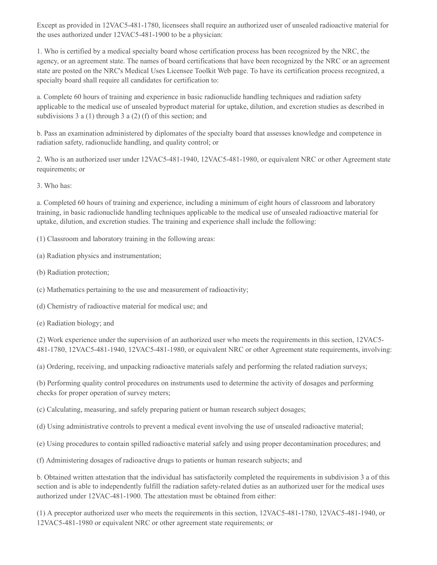Except as provided in 12VAC5-481-1780, licensees shall require an authorized user of unsealed radioactive material for the uses authorized under 12VAC5-481-1900 to be a physician:

1. Who is certified by a medical specialty board whose certification process has been recognized by the NRC, the agency, or an agreement state. The names of board certifications that have been recognized by the NRC or an agreement state are posted on the NRC's Medical Uses Licensee Toolkit Web page. To have its certification process recognized, a specialty board shall require all candidates for certification to:

a. Complete 60 hours of training and experience in basic radionuclide handling techniques and radiation safety applicable to the medical use of unsealed byproduct material for uptake, dilution, and excretion studies as described in subdivisions 3 a (1) through 3 a (2) (f) of this section; and

b. Pass an examination administered by diplomates of the specialty board that assesses knowledge and competence in radiation safety, radionuclide handling, and quality control; or

2. Who is an authorized user under 12VAC5-481-1940, 12VAC5-481-1980, or equivalent NRC or other Agreement state requirements; or

3. Who has:

a. Completed 60 hours of training and experience, including a minimum of eight hours of classroom and laboratory training, in basic radionuclide handling techniques applicable to the medical use of unsealed radioactive material for uptake, dilution, and excretion studies. The training and experience shall include the following:

(1) Classroom and laboratory training in the following areas:

(a) Radiation physics and instrumentation;

(b) Radiation protection;

(c) Mathematics pertaining to the use and measurement of radioactivity;

(d) Chemistry of radioactive material for medical use; and

(e) Radiation biology; and

(2) Work experience under the supervision of an authorized user who meets the requirements in this section, 12VAC5- 481-1780, 12VAC5-481-1940, 12VAC5-481-1980, or equivalent NRC or other Agreement state requirements, involving:

(a) Ordering, receiving, and unpacking radioactive materials safely and performing the related radiation surveys;

(b) Performing quality control procedures on instruments used to determine the activity of dosages and performing checks for proper operation of survey meters;

(c) Calculating, measuring, and safely preparing patient or human research subject dosages;

(d) Using administrative controls to prevent a medical event involving the use of unsealed radioactive material;

(e) Using procedures to contain spilled radioactive material safely and using proper decontamination procedures; and

(f) Administering dosages of radioactive drugs to patients or human research subjects; and

b. Obtained written attestation that the individual has satisfactorily completed the requirements in subdivision 3 a of this section and is able to independently fulfill the radiation safety-related duties as an authorized user for the medical uses authorized under 12VAC-481-1900. The attestation must be obtained from either:

(1) A preceptor authorized user who meets the requirements in this section, 12VAC5-481-1780, 12VAC5-481-1940, or 12VAC5-481-1980 or equivalent NRC or other agreement state requirements; or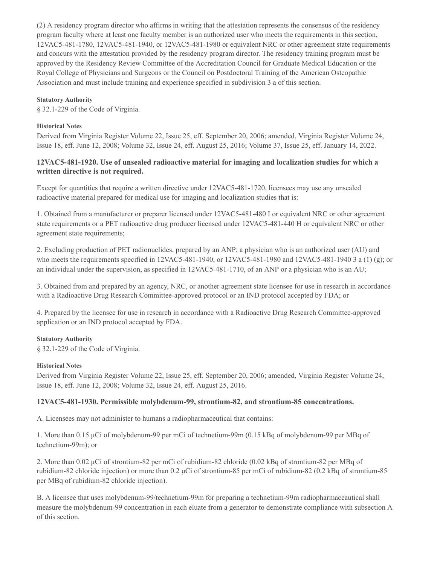(2) A residency program director who affirms in writing that the attestation represents the consensus of the residency program faculty where at least one faculty member is an authorized user who meets the requirements in this section, 12VAC5-481-1780, 12VAC5-481-1940, or 12VAC5-481-1980 or equivalent NRC or other agreement state requirements and concurs with the attestation provided by the residency program director. The residency training program must be approved by the Residency Review Committee of the Accreditation Council for Graduate Medical Education or the Royal College of Physicians and Surgeons or the Council on Postdoctoral Training of the American Osteopathic Association and must include training and experience specified in subdivision 3 a of this section.

#### **Statutory Authority**

§ 32.1-229 of the Code of Virginia.

#### **Historical Notes**

Derived from Virginia Register Volume 22, Issue 25, eff. September 20, 2006; amended, Virginia Register Volume 24, Issue 18, eff. June 12, 2008; Volume 32, Issue 24, eff. August 25, 2016; Volume 37, Issue 25, eff. January 14, 2022.

## **12VAC5-481-1920. Use of unsealed radioactive material for imaging and localization studies for which a written directive is not required.**

Except for quantities that require a written directive under 12VAC5-481-1720, licensees may use any unsealed radioactive material prepared for medical use for imaging and localization studies that is:

1. Obtained from a manufacturer or preparer licensed under 12VAC5-481-480 I or equivalent NRC or other agreement state requirements or a PET radioactive drug producer licensed under 12VAC5-481-440 H or equivalent NRC or other agreement state requirements;

2. Excluding production of PET radionuclides, prepared by an ANP; a physician who is an authorized user (AU) and who meets the requirements specified in 12VAC5-481-1940, or 12VAC5-481-1980 and 12VAC5-481-1940 3 a (1) (g); or an individual under the supervision, as specified in 12VAC5-481-1710, of an ANP or a physician who is an AU;

3. Obtained from and prepared by an agency, NRC, or another agreement state licensee for use in research in accordance with a Radioactive Drug Research Committee-approved protocol or an IND protocol accepted by FDA; or

4. Prepared by the licensee for use in research in accordance with a Radioactive Drug Research Committee-approved application or an IND protocol accepted by FDA.

#### **Statutory Authority**

§ 32.1-229 of the Code of Virginia.

#### **Historical Notes**

Derived from Virginia Register Volume 22, Issue 25, eff. September 20, 2006; amended, Virginia Register Volume 24, Issue 18, eff. June 12, 2008; Volume 32, Issue 24, eff. August 25, 2016.

#### **12VAC5-481-1930. Permissible molybdenum-99, strontium-82, and strontium-85 concentrations.**

A. Licensees may not administer to humans a radiopharmaceutical that contains:

1. More than 0.15 μCi of molybdenum-99 per mCi of technetium-99m (0.15 kBq of molybdenum-99 per MBq of technetium-99m); or

2. More than 0.02 μCi of strontium-82 per mCi of rubidium-82 chloride (0.02 kBq of strontium-82 per MBq of rubidium-82 chloride injection) or more than 0.2 μCi of strontium-85 per mCi of rubidium-82 (0.2 kBq of strontium-85 per MBq of rubidium-82 chloride injection).

B. A licensee that uses molybdenum-99/technetium-99m for preparing a technetium-99m radiopharmaceautical shall measure the molybdenum-99 concentration in each eluate from a generator to demonstrate compliance with subsection A of this section.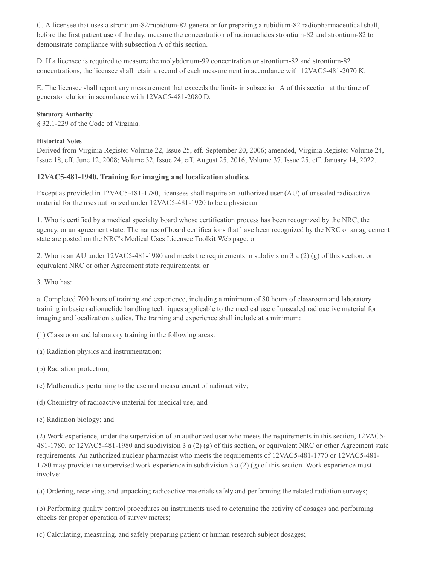C. A licensee that uses a strontium-82/rubidium-82 generator for preparing a rubidium-82 radiopharmaceutical shall, before the first patient use of the day, measure the concentration of radionuclides strontium-82 and strontium-82 to demonstrate compliance with subsection A of this section.

D. If a licensee is required to measure the molybdenum-99 concentration or strontium-82 and strontium-82 concentrations, the licensee shall retain a record of each measurement in accordance with 12VAC5-481-2070 K.

E. The licensee shall report any measurement that exceeds the limits in subsection A of this section at the time of generator elution in accordance with 12VAC5-481-2080 D.

#### **Statutory Authority**

§ 32.1-229 of the Code of Virginia.

### **Historical Notes**

Derived from Virginia Register Volume 22, Issue 25, eff. September 20, 2006; amended, Virginia Register Volume 24, Issue 18, eff. June 12, 2008; Volume 32, Issue 24, eff. August 25, 2016; Volume 37, Issue 25, eff. January 14, 2022.

## **12VAC5-481-1940. Training for imaging and localization studies.**

Except as provided in 12VAC5-481-1780, licensees shall require an authorized user (AU) of unsealed radioactive material for the uses authorized under 12VAC5-481-1920 to be a physician:

1. Who is certified by a medical specialty board whose certification process has been recognized by the NRC, the agency, or an agreement state. The names of board certifications that have been recognized by the NRC or an agreement state are posted on the NRC's Medical Uses Licensee Toolkit Web page; or

2. Who is an AU under 12VAC5-481-1980 and meets the requirements in subdivision 3 a (2) (g) of this section, or equivalent NRC or other Agreement state requirements; or

3. Who has:

a. Completed 700 hours of training and experience, including a minimum of 80 hours of classroom and laboratory training in basic radionuclide handling techniques applicable to the medical use of unsealed radioactive material for imaging and localization studies. The training and experience shall include at a minimum:

(1) Classroom and laboratory training in the following areas:

(a) Radiation physics and instrumentation;

(b) Radiation protection;

(c) Mathematics pertaining to the use and measurement of radioactivity;

(d) Chemistry of radioactive material for medical use; and

(e) Radiation biology; and

(2) Work experience, under the supervision of an authorized user who meets the requirements in this section, 12VAC5- 481-1780, or 12VAC5-481-1980 and subdivision 3 a (2) (g) of this section, or equivalent NRC or other Agreement state requirements. An authorized nuclear pharmacist who meets the requirements of 12VAC5-481-1770 or 12VAC5-481- 1780 may provide the supervised work experience in subdivision 3 a (2) (g) of this section. Work experience must involve:

(a) Ordering, receiving, and unpacking radioactive materials safely and performing the related radiation surveys;

(b) Performing quality control procedures on instruments used to determine the activity of dosages and performing checks for proper operation of survey meters;

(c) Calculating, measuring, and safely preparing patient or human research subject dosages;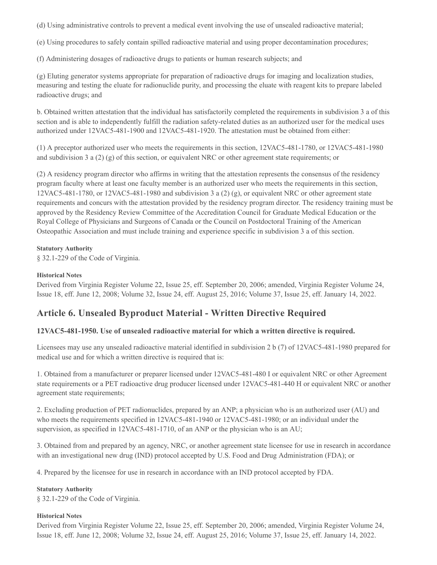(d) Using administrative controls to prevent a medical event involving the use of unsealed radioactive material;

(e) Using procedures to safely contain spilled radioactive material and using proper decontamination procedures;

(f) Administering dosages of radioactive drugs to patients or human research subjects; and

(g) Eluting generator systems appropriate for preparation of radioactive drugs for imaging and localization studies, measuring and testing the eluate for radionuclide purity, and processing the eluate with reagent kits to prepare labeled radioactive drugs; and

b. Obtained written attestation that the individual has satisfactorily completed the requirements in subdivision 3 a of this section and is able to independently fulfill the radiation safety-related duties as an authorized user for the medical uses authorized under 12VAC5-481-1900 and 12VAC5-481-1920. The attestation must be obtained from either:

(1) A preceptor authorized user who meets the requirements in this section, 12VAC5-481-1780, or 12VAC5-481-1980 and subdivision 3 a  $(2)$   $(g)$  of this section, or equivalent NRC or other agreement state requirements; or

(2) A residency program director who affirms in writing that the attestation represents the consensus of the residency program faculty where at least one faculty member is an authorized user who meets the requirements in this section,  $12VAC5-481-1780$ , or  $12VAC5-481-1980$  and subdivision 3 a  $(2)(g)$ , or equivalent NRC or other agreement state requirements and concurs with the attestation provided by the residency program director. The residency training must be approved by the Residency Review Committee of the Accreditation Council for Graduate Medical Education or the Royal College of Physicians and Surgeons of Canada or the Council on Postdoctoral Training of the American Osteopathic Association and must include training and experience specific in subdivision 3 a of this section.

## **Statutory Authority**

§ 32.1-229 of the Code of Virginia.

## **Historical Notes**

Derived from Virginia Register Volume 22, Issue 25, eff. September 20, 2006; amended, Virginia Register Volume 24, Issue 18, eff. June 12, 2008; Volume 32, Issue 24, eff. August 25, 2016; Volume 37, Issue 25, eff. January 14, 2022.

# **Article 6. Unsealed Byproduct Material - Written Directive Required**

## **12VAC5-481-1950. Use of unsealed radioactive material for which a written directive is required.**

Licensees may use any unsealed radioactive material identified in subdivision 2 b (7) of 12VAC5-481-1980 prepared for medical use and for which a written directive is required that is:

1. Obtained from a manufacturer or preparer licensed under 12VAC5-481-480 I or equivalent NRC or other Agreement state requirements or a PET radioactive drug producer licensed under 12VAC5-481-440 H or equivalent NRC or another agreement state requirements;

2. Excluding production of PET radionuclides, prepared by an ANP; a physician who is an authorized user (AU) and who meets the requirements specified in 12VAC5-481-1940 or 12VAC5-481-1980; or an individual under the supervision, as specified in 12VAC5-481-1710, of an ANP or the physician who is an AU;

3. Obtained from and prepared by an agency, NRC, or another agreement state licensee for use in research in accordance with an investigational new drug (IND) protocol accepted by U.S. Food and Drug Administration (FDA); or

4. Prepared by the licensee for use in research in accordance with an IND protocol accepted by FDA.

## **Statutory Authority**

§ 32.1-229 of the Code of Virginia.

## **Historical Notes**

Derived from Virginia Register Volume 22, Issue 25, eff. September 20, 2006; amended, Virginia Register Volume 24, Issue 18, eff. June 12, 2008; Volume 32, Issue 24, eff. August 25, 2016; Volume 37, Issue 25, eff. January 14, 2022.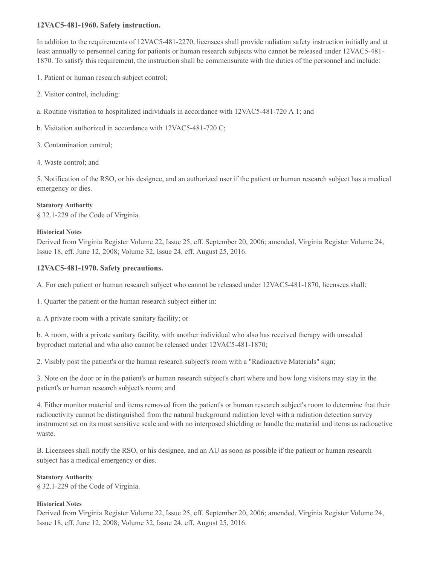## **12VAC5-481-1960. Safety instruction.**

In addition to the requirements of 12VAC5-481-2270, licensees shall provide radiation safety instruction initially and at least annually to personnel caring for patients or human research subjects who cannot be released under 12VAC5-481- 1870. To satisfy this requirement, the instruction shall be commensurate with the duties of the personnel and include:

- 1. Patient or human research subject control;
- 2. Visitor control, including:
- a. Routine visitation to hospitalized individuals in accordance with 12VAC5-481-720 A 1; and
- b. Visitation authorized in accordance with 12VAC5-481-720 C;
- 3. Contamination control;
- 4. Waste control; and

5. Notification of the RSO, or his designee, and an authorized user if the patient or human research subject has a medical emergency or dies.

#### **Statutory Authority**

§ 32.1-229 of the Code of Virginia.

#### **Historical Notes**

Derived from Virginia Register Volume 22, Issue 25, eff. September 20, 2006; amended, Virginia Register Volume 24, Issue 18, eff. June 12, 2008; Volume 32, Issue 24, eff. August 25, 2016.

## **12VAC5-481-1970. Safety precautions.**

A. For each patient or human research subject who cannot be released under 12VAC5-481-1870, licensees shall:

1. Quarter the patient or the human research subject either in:

a. A private room with a private sanitary facility; or

b. A room, with a private sanitary facility, with another individual who also has received therapy with unsealed byproduct material and who also cannot be released under 12VAC5-481-1870;

2. Visibly post the patient's or the human research subject's room with a "Radioactive Materials" sign;

3. Note on the door or in the patient's or human research subject's chart where and how long visitors may stay in the patient's or human research subject's room; and

4. Either monitor material and items removed from the patient's or human research subject's room to determine that their radioactivity cannot be distinguished from the natural background radiation level with a radiation detection survey instrument set on its most sensitive scale and with no interposed shielding or handle the material and items as radioactive waste.

B. Licensees shall notify the RSO, or his designee, and an AU as soon as possible if the patient or human research subject has a medical emergency or dies.

#### **Statutory Authority**

§ 32.1-229 of the Code of Virginia.

#### **Historical Notes**

Derived from Virginia Register Volume 22, Issue 25, eff. September 20, 2006; amended, Virginia Register Volume 24, Issue 18, eff. June 12, 2008; Volume 32, Issue 24, eff. August 25, 2016.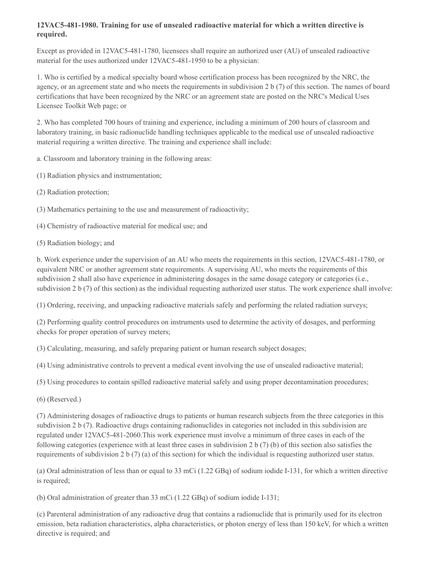## **12VAC5-481-1980. Training for use of unsealed radioactive material for which a written directive is required.**

Except as provided in 12VAC5-481-1780, licensees shall require an authorized user (AU) of unsealed radioactive material for the uses authorized under 12VAC5-481-1950 to be a physician:

1. Who is certified by a medical specialty board whose certification process has been recognized by the NRC, the agency, or an agreement state and who meets the requirements in subdivision 2 b (7) of this section. The names of board certifications that have been recognized by the NRC or an agreement state are posted on the NRC's Medical Uses Licensee Toolkit Web page; or

2. Who has completed 700 hours of training and experience, including a minimum of 200 hours of classroom and laboratory training, in basic radionuclide handling techniques applicable to the medical use of unsealed radioactive material requiring a written directive. The training and experience shall include:

a. Classroom and laboratory training in the following areas:

- (1) Radiation physics and instrumentation;
- (2) Radiation protection;
- (3) Mathematics pertaining to the use and measurement of radioactivity;
- (4) Chemistry of radioactive material for medical use; and
- (5) Radiation biology; and

b. Work experience under the supervision of an AU who meets the requirements in this section, 12VAC5-481-1780, or equivalent NRC or another agreement state requirements. A supervising AU, who meets the requirements of this subdivision 2 shall also have experience in administering dosages in the same dosage category or categories (i.e., subdivision 2 b (7) of this section) as the individual requesting authorized user status. The work experience shall involve:

(1) Ordering, receiving, and unpacking radioactive materials safely and performing the related radiation surveys;

(2) Performing quality control procedures on instruments used to determine the activity of dosages, and performing checks for proper operation of survey meters;

(3) Calculating, measuring, and safely preparing patient or human research subject dosages;

(4) Using administrative controls to prevent a medical event involving the use of unsealed radioactive material;

- (5) Using procedures to contain spilled radioactive material safely and using proper decontamination procedures;
- (6) (Reserved.)

(7) Administering dosages of radioactive drugs to patients or human research subjects from the three categories in this subdivision 2 b (7). Radioactive drugs containing radionuclides in categories not included in this subdivision are regulated under 12VAC5-481-2060.This work experience must involve a minimum of three cases in each of the following categories (experience with at least three cases in subdivision 2 b (7) (b) of this section also satisfies the requirements of subdivision 2 b (7) (a) of this section) for which the individual is requesting authorized user status.

(a) Oral administration of less than or equal to 33 mCi (1.22 GBq) of sodium iodide I-131, for which a written directive is required;

(b) Oral administration of greater than 33 mCi (1.22 GBq) of sodium iodide I-131;

(c) Parenteral administration of any radioactive drug that contains a radionuclide that is primarily used for its electron emission, beta radiation characteristics, alpha characteristics, or photon energy of less than 150 keV, for which a written directive is required; and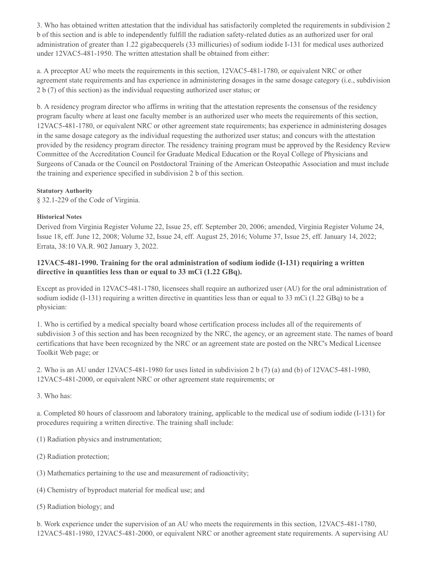3. Who has obtained written attestation that the individual has satisfactorily completed the requirements in subdivision 2 b of this section and is able to independently fulfill the radiation safety-related duties as an authorized user for oral administration of greater than 1.22 gigabecquerels (33 millicuries) of sodium iodide I-131 for medical uses authorized under 12VAC5-481-1950. The written attestation shall be obtained from either:

a. A preceptor AU who meets the requirements in this section, 12VAC5-481-1780, or equivalent NRC or other agreement state requirements and has experience in administering dosages in the same dosage category (i.e., subdivision 2 b (7) of this section) as the individual requesting authorized user status; or

b. A residency program director who affirms in writing that the attestation represents the consensus of the residency program faculty where at least one faculty member is an authorized user who meets the requirements of this section, 12VAC5-481-1780, or equivalent NRC or other agreement state requirements; has experience in administering dosages in the same dosage category as the individual requesting the authorized user status; and concurs with the attestation provided by the residency program director. The residency training program must be approved by the Residency Review Committee of the Accreditation Council for Graduate Medical Education or the Royal College of Physicians and Surgeons of Canada or the Council on Postdoctoral Training of the American Osteopathic Association and must include the training and experience specified in subdivision 2 b of this section.

#### **Statutory Authority**

§ 32.1-229 of the Code of Virginia.

#### **Historical Notes**

Derived from Virginia Register Volume 22, Issue 25, eff. September 20, 2006; amended, Virginia Register Volume 24, Issue 18, eff. June 12, 2008; Volume 32, Issue 24, eff. August 25, 2016; Volume 37, Issue 25, eff. January 14, 2022; Errata, 38:10 VA.R. 902 January 3, 2022.

## **12VAC5-481-1990. Training for the oral administration of sodium iodide (I-131) requiring a written directive in quantities less than or equal to 33 mCi (1.22 GBq).**

Except as provided in 12VAC5-481-1780, licensees shall require an authorized user (AU) for the oral administration of sodium iodide (I-131) requiring a written directive in quantities less than or equal to 33 mCi (1.22 GBq) to be a physician:

1. Who is certified by a medical specialty board whose certification process includes all of the requirements of subdivision 3 of this section and has been recognized by the NRC, the agency, or an agreement state. The names of board certifications that have been recognized by the NRC or an agreement state are posted on the NRC's Medical Licensee Toolkit Web page; or

2. Who is an AU under 12VAC5-481-1980 for uses listed in subdivision 2 b (7) (a) and (b) of 12VAC5-481-1980, 12VAC5-481-2000, or equivalent NRC or other agreement state requirements; or

3. Who has:

a. Completed 80 hours of classroom and laboratory training, applicable to the medical use of sodium iodide (I-131) for procedures requiring a written directive. The training shall include:

(1) Radiation physics and instrumentation;

- (2) Radiation protection;
- (3) Mathematics pertaining to the use and measurement of radioactivity;
- (4) Chemistry of byproduct material for medical use; and
- (5) Radiation biology; and

b. Work experience under the supervision of an AU who meets the requirements in this section, 12VAC5-481-1780, 12VAC5-481-1980, 12VAC5-481-2000, or equivalent NRC or another agreement state requirements. A supervising AU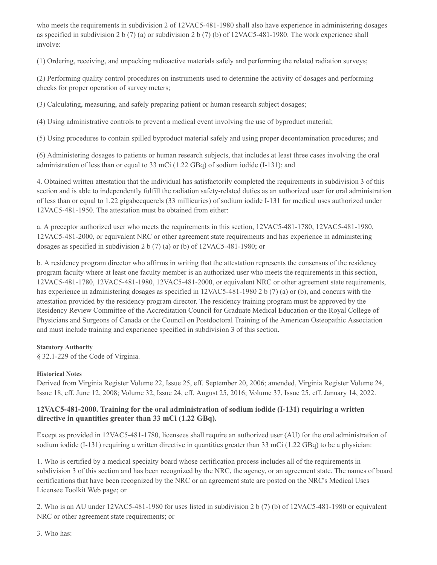who meets the requirements in subdivision 2 of  $12VAC5-481-1980$  shall also have experience in administering dosages as specified in subdivision 2 b (7) (a) or subdivision 2 b (7) (b) of 12VAC5-481-1980. The work experience shall involve:

(1) Ordering, receiving, and unpacking radioactive materials safely and performing the related radiation surveys;

(2) Performing quality control procedures on instruments used to determine the activity of dosages and performing checks for proper operation of survey meters;

(3) Calculating, measuring, and safely preparing patient or human research subject dosages;

(4) Using administrative controls to prevent a medical event involving the use of byproduct material;

(5) Using procedures to contain spilled byproduct material safely and using proper decontamination procedures; and

(6) Administering dosages to patients or human research subjects, that includes at least three cases involving the oral administration of less than or equal to 33 mCi (1.22 GBq) of sodium iodide (I-131); and

4. Obtained written attestation that the individual has satisfactorily completed the requirements in subdivision 3 of this section and is able to independently fulfill the radiation safety-related duties as an authorized user for oral administration of less than or equal to 1.22 gigabecquerels (33 millicuries) of sodium iodide I-131 for medical uses authorized under 12VAC5-481-1950. The attestation must be obtained from either:

a. A preceptor authorized user who meets the requirements in this section, 12VAC5-481-1780, 12VAC5-481-1980, 12VAC5-481-2000, or equivalent NRC or other agreement state requirements and has experience in administering dosages as specified in subdivision 2 b (7) (a) or (b) of 12VAC5-481-1980; or

b. A residency program director who affirms in writing that the attestation represents the consensus of the residency program faculty where at least one faculty member is an authorized user who meets the requirements in this section, 12VAC5-481-1780, 12VAC5-481-1980, 12VAC5-481-2000, or equivalent NRC or other agreement state requirements, has experience in administering dosages as specified in 12VAC5-481-1980 2 b (7) (a) or (b), and concurs with the attestation provided by the residency program director. The residency training program must be approved by the Residency Review Committee of the Accreditation Council for Graduate Medical Education or the Royal College of Physicians and Surgeons of Canada or the Council on Postdoctoral Training of the American Osteopathic Association and must include training and experience specified in subdivision 3 of this section.

## **Statutory Authority**

§ 32.1-229 of the Code of Virginia.

## **Historical Notes**

Derived from Virginia Register Volume 22, Issue 25, eff. September 20, 2006; amended, Virginia Register Volume 24, Issue 18, eff. June 12, 2008; Volume 32, Issue 24, eff. August 25, 2016; Volume 37, Issue 25, eff. January 14, 2022.

## **12VAC5-481-2000. Training for the oral administration of sodium iodide (I-131) requiring a written directive in quantities greater than 33 mCi (1.22 GBq).**

Except as provided in 12VAC5-481-1780, licensees shall require an authorized user (AU) for the oral administration of sodium iodide (I-131) requiring a written directive in quantities greater than 33 mCi (1.22 GBq) to be a physician:

1. Who is certified by a medical specialty board whose certification process includes all of the requirements in subdivision 3 of this section and has been recognized by the NRC, the agency, or an agreement state. The names of board certifications that have been recognized by the NRC or an agreement state are posted on the NRC's Medical Uses Licensee Toolkit Web page; or

2. Who is an AU under 12VAC5-481-1980 for uses listed in subdivision 2 b (7) (b) of 12VAC5-481-1980 or equivalent NRC or other agreement state requirements; or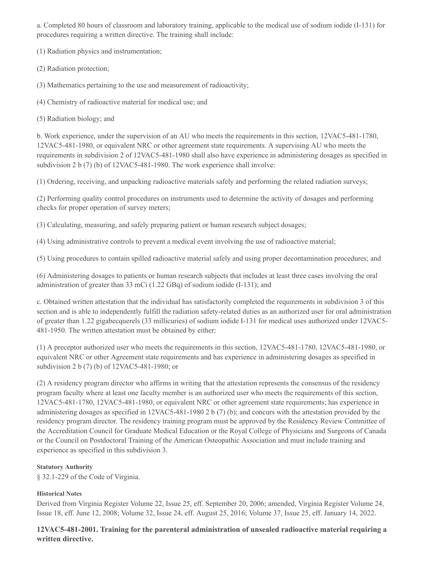a. Completed 80 hours of classroom and laboratory training, applicable to the medical use of sodium iodide (I-131) for procedures requiring a written directive. The training shall include:

(1) Radiation physics and instrumentation;

(2) Radiation protection;

(3) Mathematics pertaining to the use and measurement of radioactivity;

(4) Chemistry of radioactive material for medical use; and

(5) Radiation biology; and

b. Work experience, under the supervision of an AU who meets the requirements in this section, 12VAC5-481-1780, 12VAC5-481-1980, or equivalent NRC or other agreement state requirements. A supervising AU who meets the requirements in subdivision 2 of 12VAC5-481-1980 shall also have experience in administering dosages as specified in subdivision 2 b (7) (b) of 12VAC5-481-1980. The work experience shall involve:

(1) Ordering, receiving, and unpacking radioactive materials safely and performing the related radiation surveys;

(2) Performing quality control procedures on instruments used to determine the activity of dosages and performing checks for proper operation of survey meters;

(3) Calculating, measuring, and safely preparing patient or human research subject dosages;

(4) Using administrative controls to prevent a medical event involving the use of radioactive material;

(5) Using procedures to contain spilled radioactive material safely and using proper decontamination procedures; and

(6) Administering dosages to patients or human research subjects that includes at least three cases involving the oral administration of greater than 33 mCi (1.22 GBq) of sodium iodide (I-131); and

c. Obtained written attestation that the individual has satisfactorily completed the requirements in subdivision 3 of this section and is able to independently fulfill the radiation safety-related duties as an authorized user for oral administration of greater than 1.22 gigabecquerels (33 millicuries) of sodium iodide I-131 for medical uses authorized under 12VAC5- 481-1950. The written attestation must be obtained by either:

(1) A preceptor authorized user who meets the requirements in this section, 12VAC5-481-1780, 12VAC5-481-1980, or equivalent NRC or other Agreement state requirements and has experience in administering dosages as specified in subdivision 2 b (7) (b) of 12VAC5-481-1980; or

(2) A residency program director who affirms in writing that the attestation represents the consensus of the residency program faculty where at least one faculty member is an authorized user who meets the requirements of this section, 12VAC5-481-1780, 12VAC5-481-1980, or equivalent NRC or other agreement state requirements; has experience in administering dosages as specified in 12VAC5-481-1980 2 b (7) (b); and concurs with the attestation provided by the residency program director. The residency training program must be approved by the Residency Review Committee of the Accreditation Council for Graduate Medical Education or the Royal College of Physicians and Surgeons of Canada or the Council on Postdoctoral Training of the American Osteopathic Association and must include training and experience as specified in this subdivision 3.

#### **Statutory Authority**

§ 32.1-229 of the Code of Virginia.

## **Historical Notes**

Derived from Virginia Register Volume 22, Issue 25, eff. September 20, 2006; amended, Virginia Register Volume 24, Issue 18, eff. June 12, 2008; Volume 32, Issue 24, eff. August 25, 2016; Volume 37, Issue 25, eff. January 14, 2022.

## **12VAC5-481-2001. Training for the parenteral administration of unsealed radioactive material requiring a written directive.**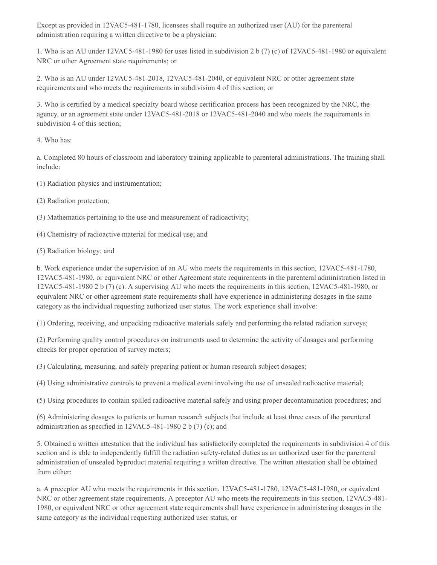Except as provided in 12VAC5-481-1780, licensees shall require an authorized user (AU) for the parenteral administration requiring a written directive to be a physician:

1. Who is an AU under 12VAC5-481-1980 for uses listed in subdivision 2 b (7) (c) of 12VAC5-481-1980 or equivalent NRC or other Agreement state requirements; or

2. Who is an AU under 12VAC5-481-2018, 12VAC5-481-2040, or equivalent NRC or other agreement state requirements and who meets the requirements in subdivision 4 of this section; or

3. Who is certified by a medical specialty board whose certification process has been recognized by the NRC, the agency, or an agreement state under 12VAC5-481-2018 or 12VAC5-481-2040 and who meets the requirements in subdivision 4 of this section;

4. Who has:

a. Completed 80 hours of classroom and laboratory training applicable to parenteral administrations. The training shall include:

(1) Radiation physics and instrumentation;

(2) Radiation protection;

(3) Mathematics pertaining to the use and measurement of radioactivity;

(4) Chemistry of radioactive material for medical use; and

(5) Radiation biology; and

b. Work experience under the supervision of an AU who meets the requirements in this section, 12VAC5-481-1780, 12VAC5-481-1980, or equivalent NRC or other Agreement state requirements in the parenteral administration listed in 12VAC5-481-1980 2 b (7) (c). A supervising AU who meets the requirements in this section, 12VAC5-481-1980, or equivalent NRC or other agreement state requirements shall have experience in administering dosages in the same category as the individual requesting authorized user status. The work experience shall involve:

(1) Ordering, receiving, and unpacking radioactive materials safely and performing the related radiation surveys;

(2) Performing quality control procedures on instruments used to determine the activity of dosages and performing checks for proper operation of survey meters;

(3) Calculating, measuring, and safely preparing patient or human research subject dosages;

(4) Using administrative controls to prevent a medical event involving the use of unsealed radioactive material;

(5) Using procedures to contain spilled radioactive material safely and using proper decontamination procedures; and

(6) Administering dosages to patients or human research subjects that include at least three cases of the parenteral administration as specified in 12VAC5-481-1980 2 b (7) (c); and

5. Obtained a written attestation that the individual has satisfactorily completed the requirements in subdivision 4 of this section and is able to independently fulfill the radiation safety-related duties as an authorized user for the parenteral administration of unsealed byproduct material requiring a written directive. The written attestation shall be obtained from either:

a. A preceptor AU who meets the requirements in this section, 12VAC5-481-1780, 12VAC5-481-1980, or equivalent NRC or other agreement state requirements. A preceptor AU who meets the requirements in this section, 12VAC5-481- 1980, or equivalent NRC or other agreement state requirements shall have experience in administering dosages in the same category as the individual requesting authorized user status; or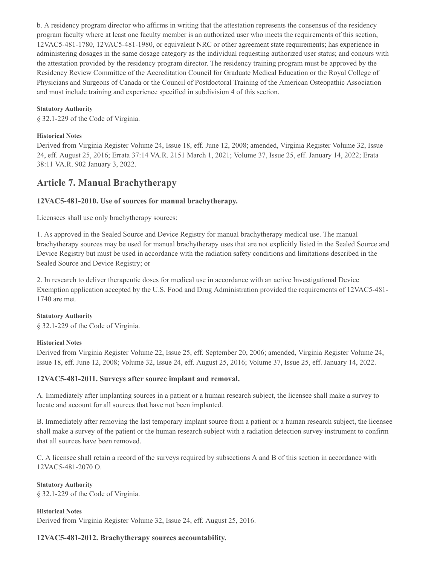b. A residency program director who affirms in writing that the attestation represents the consensus of the residency program faculty where at least one faculty member is an authorized user who meets the requirements of this section, 12VAC5-481-1780, 12VAC5-481-1980, or equivalent NRC or other agreement state requirements; has experience in administering dosages in the same dosage category as the individual requesting authorized user status; and concurs with the attestation provided by the residency program director. The residency training program must be approved by the Residency Review Committee of the Accreditation Council for Graduate Medical Education or the Royal College of Physicians and Surgeons of Canada or the Council of Postdoctoral Training of the American Osteopathic Association and must include training and experience specified in subdivision 4 of this section.

### **Statutory Authority**

§ 32.1-229 of the Code of Virginia.

### **Historical Notes**

Derived from Virginia Register Volume 24, Issue 18, eff. June 12, 2008; amended, Virginia Register Volume 32, Issue 24, eff. August 25, 2016; Errata 37:14 VA.R. 2151 March 1, 2021; Volume 37, Issue 25, eff. January 14, 2022; Erata 38:11 VA.R. 902 January 3, 2022.

# **Article 7. Manual Brachytherapy**

## **12VAC5-481-2010. Use of sources for manual brachytherapy.**

Licensees shall use only brachytherapy sources:

1. As approved in the Sealed Source and Device Registry for manual brachytherapy medical use. The manual brachytherapy sources may be used for manual brachytherapy uses that are not explicitly listed in the Sealed Source and Device Registry but must be used in accordance with the radiation safety conditions and limitations described in the Sealed Source and Device Registry; or

2. In research to deliver therapeutic doses for medical use in accordance with an active Investigational Device Exemption application accepted by the U.S. Food and Drug Administration provided the requirements of 12VAC5-481- 1740 are met.

#### **Statutory Authority**

§ 32.1-229 of the Code of Virginia.

## **Historical Notes**

Derived from Virginia Register Volume 22, Issue 25, eff. September 20, 2006; amended, Virginia Register Volume 24, Issue 18, eff. June 12, 2008; Volume 32, Issue 24, eff. August 25, 2016; Volume 37, Issue 25, eff. January 14, 2022.

## **12VAC5-481-2011. Surveys after source implant and removal.**

A. Immediately after implanting sources in a patient or a human research subject, the licensee shall make a survey to locate and account for all sources that have not been implanted.

B. Immediately after removing the last temporary implant source from a patient or a human research subject, the licensee shall make a survey of the patient or the human research subject with a radiation detection survey instrument to confirm that all sources have been removed.

C. A licensee shall retain a record of the surveys required by subsections A and B of this section in accordance with 12VAC5-481-2070 O.

**Statutory Authority** § 32.1-229 of the Code of Virginia.

#### **Historical Notes**

Derived from Virginia Register Volume 32, Issue 24, eff. August 25, 2016.

## **12VAC5-481-2012. Brachytherapy sources accountability.**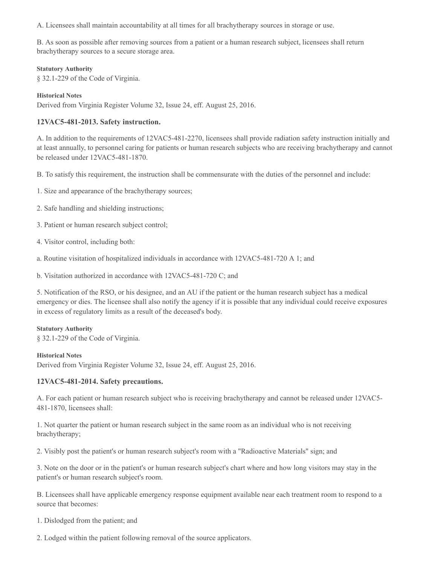A. Licensees shall maintain accountability at all times for all brachytherapy sources in storage or use.

B. As soon as possible after removing sources from a patient or a human research subject, licensees shall return brachytherapy sources to a secure storage area.

#### **Statutory Authority**

§ 32.1-229 of the Code of Virginia.

## **Historical Notes**

Derived from Virginia Register Volume 32, Issue 24, eff. August 25, 2016.

## **12VAC5-481-2013. Safety instruction.**

A. In addition to the requirements of 12VAC5-481-2270, licensees shall provide radiation safety instruction initially and at least annually, to personnel caring for patients or human research subjects who are receiving brachytherapy and cannot be released under 12VAC5-481-1870.

B. To satisfy this requirement, the instruction shall be commensurate with the duties of the personnel and include:

- 1. Size and appearance of the brachytherapy sources;
- 2. Safe handling and shielding instructions;
- 3. Patient or human research subject control;
- 4. Visitor control, including both:
- a. Routine visitation of hospitalized individuals in accordance with 12VAC5-481-720 A 1; and
- b. Visitation authorized in accordance with 12VAC5-481-720 C; and

5. Notification of the RSO, or his designee, and an AU if the patient or the human research subject has a medical emergency or dies. The licensee shall also notify the agency if it is possible that any individual could receive exposures in excess of regulatory limits as a result of the deceased's body.

## **Statutory Authority**

§ 32.1-229 of the Code of Virginia.

#### **Historical Notes**

Derived from Virginia Register Volume 32, Issue 24, eff. August 25, 2016.

## **12VAC5-481-2014. Safety precautions.**

A. For each patient or human research subject who is receiving brachytherapy and cannot be released under 12VAC5- 481-1870, licensees shall:

1. Not quarter the patient or human research subject in the same room as an individual who is not receiving brachytherapy;

2. Visibly post the patient's or human research subject's room with a "Radioactive Materials" sign; and

3. Note on the door or in the patient's or human research subject's chart where and how long visitors may stay in the patient's or human research subject's room.

B. Licensees shall have applicable emergency response equipment available near each treatment room to respond to a source that becomes:

1. Dislodged from the patient; and

2. Lodged within the patient following removal of the source applicators.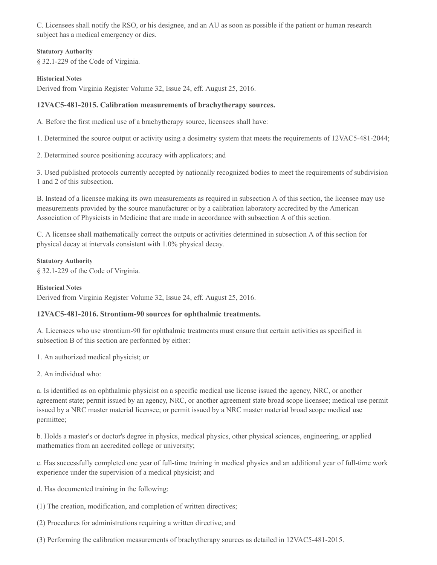C. Licensees shall notify the RSO, or his designee, and an AU as soon as possible if the patient or human research subject has a medical emergency or dies.

#### **Statutory Authority**

§ 32.1-229 of the Code of Virginia.

#### **Historical Notes**

Derived from Virginia Register Volume 32, Issue 24, eff. August 25, 2016.

### **12VAC5-481-2015. Calibration measurements of brachytherapy sources.**

A. Before the first medical use of a brachytherapy source, licensees shall have:

1. Determined the source output or activity using a dosimetry system that meets the requirements of 12VAC5-481-2044;

2. Determined source positioning accuracy with applicators; and

3. Used published protocols currently accepted by nationally recognized bodies to meet the requirements of subdivision 1 and 2 of this subsection.

B. Instead of a licensee making its own measurements as required in subsection A of this section, the licensee may use measurements provided by the source manufacturer or by a calibration laboratory accredited by the American Association of Physicists in Medicine that are made in accordance with subsection A of this section.

C. A licensee shall mathematically correct the outputs or activities determined in subsection A of this section for physical decay at intervals consistent with 1.0% physical decay.

#### **Statutory Authority**

§ 32.1-229 of the Code of Virginia.

#### **Historical Notes**

Derived from Virginia Register Volume 32, Issue 24, eff. August 25, 2016.

## **12VAC5-481-2016. Strontium-90 sources for ophthalmic treatments.**

A. Licensees who use strontium-90 for ophthalmic treatments must ensure that certain activities as specified in subsection B of this section are performed by either:

1. An authorized medical physicist; or

2. An individual who:

a. Is identified as on ophthalmic physicist on a specific medical use license issued the agency, NRC, or another agreement state; permit issued by an agency, NRC, or another agreement state broad scope licensee; medical use permit issued by a NRC master material licensee; or permit issued by a NRC master material broad scope medical use permittee;

b. Holds a master's or doctor's degree in physics, medical physics, other physical sciences, engineering, or applied mathematics from an accredited college or university;

c. Has successfully completed one year of full-time training in medical physics and an additional year of full-time work experience under the supervision of a medical physicist; and

- d. Has documented training in the following:
- (1) The creation, modification, and completion of written directives;
- (2) Procedures for administrations requiring a written directive; and
- (3) Performing the calibration measurements of brachytherapy sources as detailed in 12VAC5-481-2015.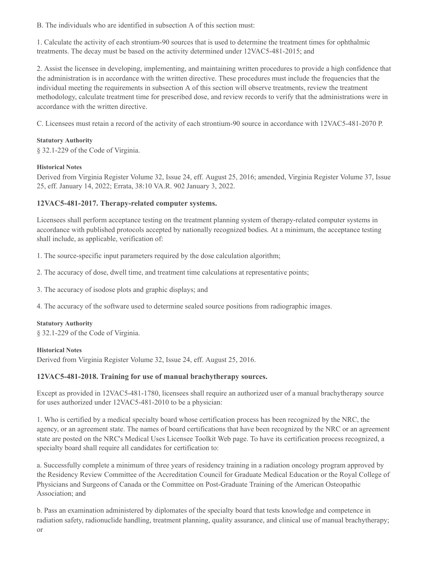B. The individuals who are identified in subsection A of this section must:

1. Calculate the activity of each strontium-90 sources that is used to determine the treatment times for ophthalmic treatments. The decay must be based on the activity determined under 12VAC5-481-2015; and

2. Assist the licensee in developing, implementing, and maintaining written procedures to provide a high confidence that the administration is in accordance with the written directive. These procedures must include the frequencies that the individual meeting the requirements in subsection A of this section will observe treatments, review the treatment methodology, calculate treatment time for prescribed dose, and review records to verify that the administrations were in accordance with the written directive.

C. Licensees must retain a record of the activity of each strontium-90 source in accordance with 12VAC5-481-2070 P.

## **Statutory Authority**

§ 32.1-229 of the Code of Virginia.

## **Historical Notes**

Derived from Virginia Register Volume 32, Issue 24, eff. August 25, 2016; amended, Virginia Register Volume 37, Issue 25, eff. January 14, 2022; Errata, 38:10 VA.R. 902 January 3, 2022.

## **12VAC5-481-2017. Therapy-related computer systems.**

Licensees shall perform acceptance testing on the treatment planning system of therapy-related computer systems in accordance with published protocols accepted by nationally recognized bodies. At a minimum, the acceptance testing shall include, as applicable, verification of:

1. The source-specific input parameters required by the dose calculation algorithm;

2. The accuracy of dose, dwell time, and treatment time calculations at representative points;

3. The accuracy of isodose plots and graphic displays; and

4. The accuracy of the software used to determine sealed source positions from radiographic images.

## **Statutory Authority**

§ 32.1-229 of the Code of Virginia.

## **Historical Notes**

Derived from Virginia Register Volume 32, Issue 24, eff. August 25, 2016.

## **12VAC5-481-2018. Training for use of manual brachytherapy sources.**

Except as provided in 12VAC5-481-1780, licensees shall require an authorized user of a manual brachytherapy source for uses authorized under 12VAC5-481-2010 to be a physician:

1. Who is certified by a medical specialty board whose certification process has been recognized by the NRC, the agency, or an agreement state. The names of board certifications that have been recognized by the NRC or an agreement state are posted on the NRC's Medical Uses Licensee Toolkit Web page. To have its certification process recognized, a specialty board shall require all candidates for certification to:

a. Successfully complete a minimum of three years of residency training in a radiation oncology program approved by the Residency Review Committee of the Accreditation Council for Graduate Medical Education or the Royal College of Physicians and Surgeons of Canada or the Committee on Post-Graduate Training of the American Osteopathic Association; and

b. Pass an examination administered by diplomates of the specialty board that tests knowledge and competence in radiation safety, radionuclide handling, treatment planning, quality assurance, and clinical use of manual brachytherapy;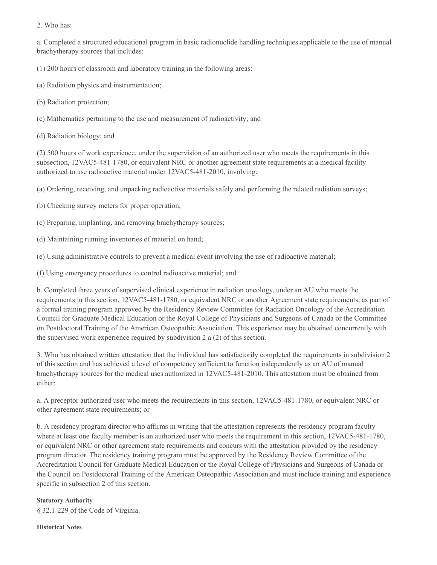2. Who has:

a. Completed a structured educational program in basic radionuclide handling techniques applicable to the use of manual brachytherapy sources that includes:

(1) 200 hours of classroom and laboratory training in the following areas:

- (a) Radiation physics and instrumentation;
- (b) Radiation protection;
- (c) Mathematics pertaining to the use and measurement of radioactivity; and
- (d) Radiation biology; and

(2) 500 hours of work experience, under the supervision of an authorized user who meets the requirements in this subsection, 12VAC5-481-1780, or equivalent NRC or another agreement state requirements at a medical facility authorized to use radioactive material under 12VAC5-481-2010, involving:

(a) Ordering, receiving, and unpacking radioactive materials safely and performing the related radiation surveys;

- (b) Checking survey meters for proper operation;
- (c) Preparing, implanting, and removing brachytherapy sources;
- (d) Maintaining running inventories of material on hand;

(e) Using administrative controls to prevent a medical event involving the use of radioactive material;

(f) Using emergency procedures to control radioactive material; and

b. Completed three years of supervised clinical experience in radiation oncology, under an AU who meets the requirements in this section, 12VAC5-481-1780, or equivalent NRC or another Agreement state requirements, as part of a formal training program approved by the Residency Review Committee for Radiation Oncology of the Accreditation Council for Graduate Medical Education or the Royal College of Physicians and Surgeons of Canada or the Committee on Postdoctoral Training of the American Osteopathic Association. This experience may be obtained concurrently with the supervised work experience required by subdivision 2 a (2) of this section.

3. Who has obtained written attestation that the individual has satisfactorily completed the requirements in subdivision 2 of this section and has achieved a level of competency sufficient to function independently as an AU of manual brachytherapy sources for the medical uses authorized in 12VAC5-481-2010. This attestation must be obtained from either:

a. A preceptor authorized user who meets the requirements in this section, 12VAC5-481-1780, or equivalent NRC or other agreement state requirements; or

b. A residency program director who affirms in writing that the attestation represents the residency program faculty where at least one faculty member is an authorized user who meets the requirement in this section,  $12\text{VAC}5-481-1780$ , or equivalent NRC or other agreement state requirements and concurs with the attestation provided by the residency program director. The residency training program must be approved by the Residency Review Committee of the Accreditation Council for Graduate Medical Education or the Royal College of Physicians and Surgeons of Canada or the Council on Postdoctoral Training of the American Osteopathic Association and must include training and experience specific in subsection 2 of this section.

## **Statutory Authority** § 32.1-229 of the Code of Virginia.

#### **Historical Notes**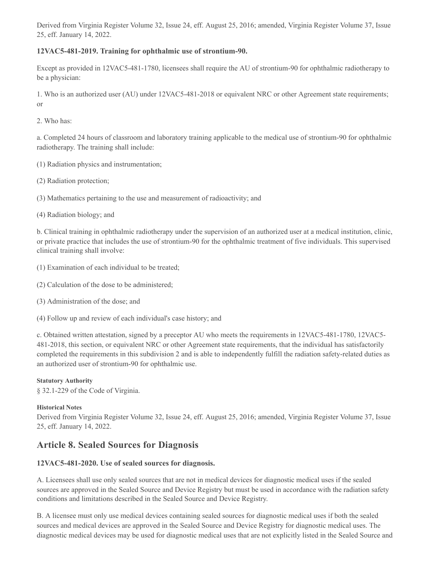Derived from Virginia Register Volume 32, Issue 24, eff. August 25, 2016; amended, Virginia Register Volume 37, Issue 25, eff. January 14, 2022.

## **12VAC5-481-2019. Training for ophthalmic use of strontium-90.**

Except as provided in 12VAC5-481-1780, licensees shall require the AU of strontium-90 for ophthalmic radiotherapy to be a physician:

1. Who is an authorized user (AU) under 12VAC5-481-2018 or equivalent NRC or other Agreement state requirements; or

2. Who has:

a. Completed 24 hours of classroom and laboratory training applicable to the medical use of strontium-90 for ophthalmic radiotherapy. The training shall include:

(1) Radiation physics and instrumentation;

(2) Radiation protection;

(3) Mathematics pertaining to the use and measurement of radioactivity; and

(4) Radiation biology; and

b. Clinical training in ophthalmic radiotherapy under the supervision of an authorized user at a medical institution, clinic, or private practice that includes the use of strontium-90 for the ophthalmic treatment of five individuals. This supervised clinical training shall involve:

- (1) Examination of each individual to be treated;
- (2) Calculation of the dose to be administered;
- (3) Administration of the dose; and
- (4) Follow up and review of each individual's case history; and

c. Obtained written attestation, signed by a preceptor AU who meets the requirements in 12VAC5-481-1780, 12VAC5- 481-2018, this section, or equivalent NRC or other Agreement state requirements, that the individual has satisfactorily completed the requirements in this subdivision 2 and is able to independently fulfill the radiation safety-related duties as an authorized user of strontium-90 for ophthalmic use.

#### **Statutory Authority**

§ 32.1-229 of the Code of Virginia.

#### **Historical Notes**

Derived from Virginia Register Volume 32, Issue 24, eff. August 25, 2016; amended, Virginia Register Volume 37, Issue 25, eff. January 14, 2022.

# **Article 8. Sealed Sources for Diagnosis**

## **12VAC5-481-2020. Use of sealed sources for diagnosis.**

A. Licensees shall use only sealed sources that are not in medical devices for diagnostic medical uses if the sealed sources are approved in the Sealed Source and Device Registry but must be used in accordance with the radiation safety conditions and limitations described in the Sealed Source and Device Registry.

B. A licensee must only use medical devices containing sealed sources for diagnostic medical uses if both the sealed sources and medical devices are approved in the Sealed Source and Device Registry for diagnostic medical uses. The diagnostic medical devices may be used for diagnostic medical uses that are not explicitly listed in the Sealed Source and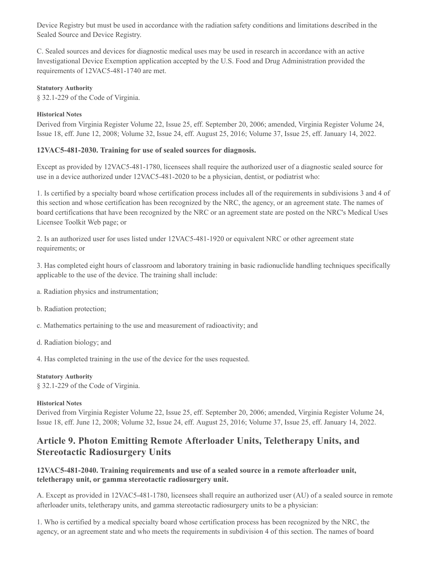Device Registry but must be used in accordance with the radiation safety conditions and limitations described in the Sealed Source and Device Registry.

C. Sealed sources and devices for diagnostic medical uses may be used in research in accordance with an active Investigational Device Exemption application accepted by the U.S. Food and Drug Administration provided the requirements of 12VAC5-481-1740 are met.

### **Statutory Authority**

§ 32.1-229 of the Code of Virginia.

### **Historical Notes**

Derived from Virginia Register Volume 22, Issue 25, eff. September 20, 2006; amended, Virginia Register Volume 24, Issue 18, eff. June 12, 2008; Volume 32, Issue 24, eff. August 25, 2016; Volume 37, Issue 25, eff. January 14, 2022.

#### **12VAC5-481-2030. Training for use of sealed sources for diagnosis.**

Except as provided by 12VAC5-481-1780, licensees shall require the authorized user of a diagnostic sealed source for use in a device authorized under 12VAC5-481-2020 to be a physician, dentist, or podiatrist who:

1. Is certified by a specialty board whose certification process includes all of the requirements in subdivisions 3 and 4 of this section and whose certification has been recognized by the NRC, the agency, or an agreement state. The names of board certifications that have been recognized by the NRC or an agreement state are posted on the NRC's Medical Uses Licensee Toolkit Web page; or

2. Is an authorized user for uses listed under 12VAC5-481-1920 or equivalent NRC or other agreement state requirements; or

3. Has completed eight hours of classroom and laboratory training in basic radionuclide handling techniques specifically applicable to the use of the device. The training shall include:

- a. Radiation physics and instrumentation;
- b. Radiation protection;
- c. Mathematics pertaining to the use and measurement of radioactivity; and
- d. Radiation biology; and
- 4. Has completed training in the use of the device for the uses requested.

**Statutory Authority** § 32.1-229 of the Code of Virginia.

#### **Historical Notes**

Derived from Virginia Register Volume 22, Issue 25, eff. September 20, 2006; amended, Virginia Register Volume 24, Issue 18, eff. June 12, 2008; Volume 32, Issue 24, eff. August 25, 2016; Volume 37, Issue 25, eff. January 14, 2022.

# **Article 9. Photon Emitting Remote Afterloader Units, Teletherapy Units, and Stereotactic Radiosurgery Units**

## **12VAC5-481-2040. Training requirements and use of a sealed source in a remote afterloader unit, teletherapy unit, or gamma stereotactic radiosurgery unit.**

A. Except as provided in 12VAC5-481-1780, licensees shall require an authorized user (AU) of a sealed source in remote afterloader units, teletherapy units, and gamma stereotactic radiosurgery units to be a physician:

1. Who is certified by a medical specialty board whose certification process has been recognized by the NRC, the agency, or an agreement state and who meets the requirements in subdivision 4 of this section. The names of board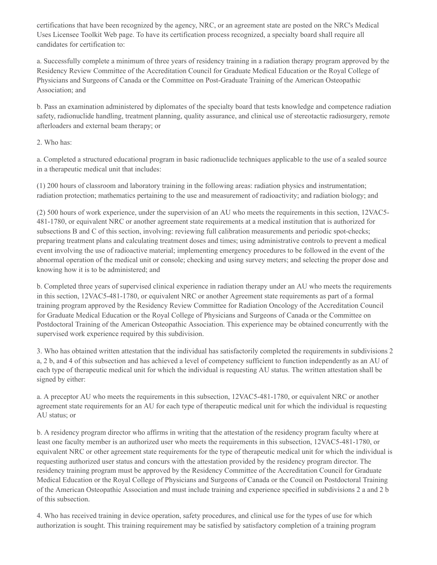certifications that have been recognized by the agency, NRC, or an agreement state are posted on the NRC's Medical Uses Licensee Toolkit Web page. To have its certification process recognized, a specialty board shall require all candidates for certification to:

a. Successfully complete a minimum of three years of residency training in a radiation therapy program approved by the Residency Review Committee of the Accreditation Council for Graduate Medical Education or the Royal College of Physicians and Surgeons of Canada or the Committee on Post-Graduate Training of the American Osteopathic Association; and

b. Pass an examination administered by diplomates of the specialty board that tests knowledge and competence radiation safety, radionuclide handling, treatment planning, quality assurance, and clinical use of stereotactic radiosurgery, remote afterloaders and external beam therapy; or

## 2. Who has:

a. Completed a structured educational program in basic radionuclide techniques applicable to the use of a sealed source in a therapeutic medical unit that includes:

(1) 200 hours of classroom and laboratory training in the following areas: radiation physics and instrumentation; radiation protection; mathematics pertaining to the use and measurement of radioactivity; and radiation biology; and

(2) 500 hours of work experience, under the supervision of an AU who meets the requirements in this section, 12VAC5- 481-1780, or equivalent NRC or another agreement state requirements at a medical institution that is authorized for subsections B and C of this section, involving: reviewing full calibration measurements and periodic spot-checks; preparing treatment plans and calculating treatment doses and times; using administrative controls to prevent a medical event involving the use of radioactive material; implementing emergency procedures to be followed in the event of the abnormal operation of the medical unit or console; checking and using survey meters; and selecting the proper dose and knowing how it is to be administered; and

b. Completed three years of supervised clinical experience in radiation therapy under an AU who meets the requirements in this section, 12VAC5-481-1780, or equivalent NRC or another Agreement state requirements as part of a formal training program approved by the Residency Review Committee for Radiation Oncology of the Accreditation Council for Graduate Medical Education or the Royal College of Physicians and Surgeons of Canada or the Committee on Postdoctoral Training of the American Osteopathic Association. This experience may be obtained concurrently with the supervised work experience required by this subdivision.

3. Who has obtained written attestation that the individual has satisfactorily completed the requirements in subdivisions 2 a, 2 b, and 4 of this subsection and has achieved a level of competency sufficient to function independently as an AU of each type of therapeutic medical unit for which the individual is requesting AU status. The written attestation shall be signed by either:

a. A preceptor AU who meets the requirements in this subsection, 12VAC5-481-1780, or equivalent NRC or another agreement state requirements for an AU for each type of therapeutic medical unit for which the individual is requesting AU status; or

b. A residency program director who affirms in writing that the attestation of the residency program faculty where at least one faculty member is an authorized user who meets the requirements in this subsection, 12VAC5-481-1780, or equivalent NRC or other agreement state requirements for the type of therapeutic medical unit for which the individual is requesting authorized user status and concurs with the attestation provided by the residency program director. The residency training program must be approved by the Residency Committee of the Accreditation Council for Graduate Medical Education or the Royal College of Physicians and Surgeons of Canada or the Council on Postdoctoral Training of the American Osteopathic Association and must include training and experience specified in subdivisions 2 a and 2 b of this subsection.

4. Who has received training in device operation, safety procedures, and clinical use for the types of use for which authorization is sought. This training requirement may be satisfied by satisfactory completion of a training program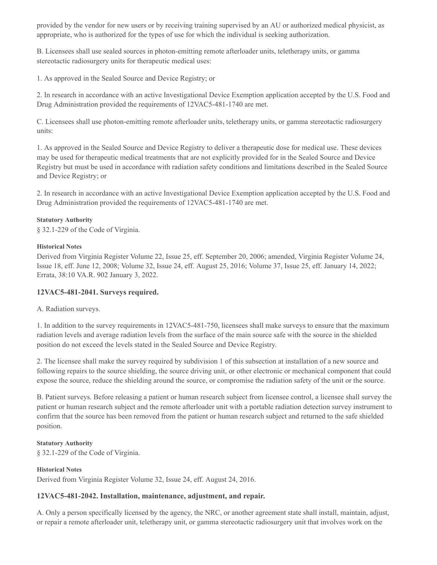provided by the vendor for new users or by receiving training supervised by an AU or authorized medical physicist, as appropriate, who is authorized for the types of use for which the individual is seeking authorization.

B. Licensees shall use sealed sources in photon-emitting remote afterloader units, teletherapy units, or gamma stereotactic radiosurgery units for therapeutic medical uses:

1. As approved in the Sealed Source and Device Registry; or

2. In research in accordance with an active Investigational Device Exemption application accepted by the U.S. Food and Drug Administration provided the requirements of 12VAC5-481-1740 are met.

C. Licensees shall use photon-emitting remote afterloader units, teletherapy units, or gamma stereotactic radiosurgery units:

1. As approved in the Sealed Source and Device Registry to deliver a therapeutic dose for medical use. These devices may be used for therapeutic medical treatments that are not explicitly provided for in the Sealed Source and Device Registry but must be used in accordance with radiation safety conditions and limitations described in the Sealed Source and Device Registry; or

2. In research in accordance with an active Investigational Device Exemption application accepted by the U.S. Food and Drug Administration provided the requirements of 12VAC5-481-1740 are met.

## **Statutory Authority**

§ 32.1-229 of the Code of Virginia.

#### **Historical Notes**

Derived from Virginia Register Volume 22, Issue 25, eff. September 20, 2006; amended, Virginia Register Volume 24, Issue 18, eff. June 12, 2008; Volume 32, Issue 24, eff. August 25, 2016; Volume 37, Issue 25, eff. January 14, 2022; Errata, 38:10 VA.R. 902 January 3, 2022.

## **12VAC5-481-2041. Surveys required.**

A. Radiation surveys.

1. In addition to the survey requirements in 12VAC5-481-750, licensees shall make surveys to ensure that the maximum radiation levels and average radiation levels from the surface of the main source safe with the source in the shielded position do not exceed the levels stated in the Sealed Source and Device Registry.

2. The licensee shall make the survey required by subdivision 1 of this subsection at installation of a new source and following repairs to the source shielding, the source driving unit, or other electronic or mechanical component that could expose the source, reduce the shielding around the source, or compromise the radiation safety of the unit or the source.

B. Patient surveys. Before releasing a patient or human research subject from licensee control, a licensee shall survey the patient or human research subject and the remote afterloader unit with a portable radiation detection survey instrument to confirm that the source has been removed from the patient or human research subject and returned to the safe shielded position.

#### **Statutory Authority**

§ 32.1-229 of the Code of Virginia.

#### **Historical Notes**

Derived from Virginia Register Volume 32, Issue 24, eff. August 24, 2016.

## **12VAC5-481-2042. Installation, maintenance, adjustment, and repair.**

A. Only a person specifically licensed by the agency, the NRC, or another agreement state shall install, maintain, adjust, or repair a remote afterloader unit, teletherapy unit, or gamma stereotactic radiosurgery unit that involves work on the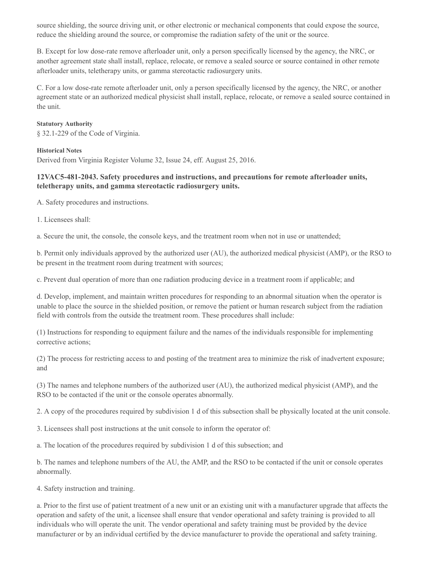source shielding, the source driving unit, or other electronic or mechanical components that could expose the source, reduce the shielding around the source, or compromise the radiation safety of the unit or the source.

B. Except for low dose-rate remove afterloader unit, only a person specifically licensed by the agency, the NRC, or another agreement state shall install, replace, relocate, or remove a sealed source or source contained in other remote afterloader units, teletherapy units, or gamma stereotactic radiosurgery units.

C. For a low dose-rate remote afterloader unit, only a person specifically licensed by the agency, the NRC, or another agreement state or an authorized medical physicist shall install, replace, relocate, or remove a sealed source contained in the unit.

#### **Statutory Authority**

§ 32.1-229 of the Code of Virginia.

#### **Historical Notes**

Derived from Virginia Register Volume 32, Issue 24, eff. August 25, 2016.

## **12VAC5-481-2043. Safety procedures and instructions, and precautions for remote afterloader units, teletherapy units, and gamma stereotactic radiosurgery units.**

A. Safety procedures and instructions.

1. Licensees shall:

a. Secure the unit, the console, the console keys, and the treatment room when not in use or unattended;

b. Permit only individuals approved by the authorized user (AU), the authorized medical physicist (AMP), or the RSO to be present in the treatment room during treatment with sources;

c. Prevent dual operation of more than one radiation producing device in a treatment room if applicable; and

d. Develop, implement, and maintain written procedures for responding to an abnormal situation when the operator is unable to place the source in the shielded position, or remove the patient or human research subject from the radiation field with controls from the outside the treatment room. These procedures shall include:

(1) Instructions for responding to equipment failure and the names of the individuals responsible for implementing corrective actions;

(2) The process for restricting access to and posting of the treatment area to minimize the risk of inadvertent exposure; and

(3) The names and telephone numbers of the authorized user (AU), the authorized medical physicist (AMP), and the RSO to be contacted if the unit or the console operates abnormally.

2. A copy of the procedures required by subdivision 1 d of this subsection shall be physically located at the unit console.

3. Licensees shall post instructions at the unit console to inform the operator of:

a. The location of the procedures required by subdivision 1 d of this subsection; and

b. The names and telephone numbers of the AU, the AMP, and the RSO to be contacted if the unit or console operates abnormally.

4. Safety instruction and training.

a. Prior to the first use of patient treatment of a new unit or an existing unit with a manufacturer upgrade that affects the operation and safety of the unit, a licensee shall ensure that vendor operational and safety training is provided to all individuals who will operate the unit. The vendor operational and safety training must be provided by the device manufacturer or by an individual certified by the device manufacturer to provide the operational and safety training.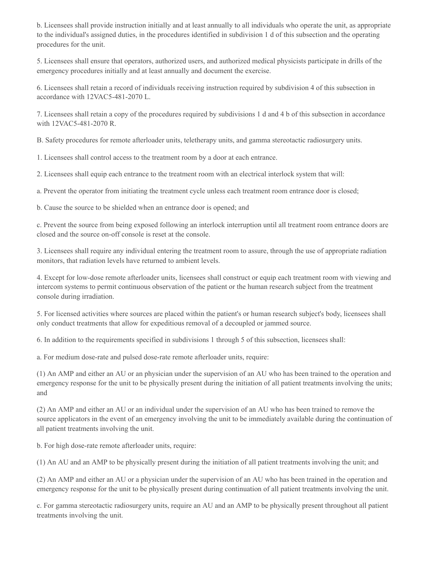b. Licensees shall provide instruction initially and at least annually to all individuals who operate the unit, as appropriate to the individual's assigned duties, in the procedures identified in subdivision 1 d of this subsection and the operating procedures for the unit.

5. Licensees shall ensure that operators, authorized users, and authorized medical physicists participate in drills of the emergency procedures initially and at least annually and document the exercise.

6. Licensees shall retain a record of individuals receiving instruction required by subdivision 4 of this subsection in accordance with 12VAC5-481-2070 L.

7. Licensees shall retain a copy of the procedures required by subdivisions 1 d and 4 b of this subsection in accordance with 12VAC5-481-2070 R.

B. Safety procedures for remote afterloader units, teletherapy units, and gamma stereotactic radiosurgery units.

1. Licensees shall control access to the treatment room by a door at each entrance.

2. Licensees shall equip each entrance to the treatment room with an electrical interlock system that will:

a. Prevent the operator from initiating the treatment cycle unless each treatment room entrance door is closed;

b. Cause the source to be shielded when an entrance door is opened; and

c. Prevent the source from being exposed following an interlock interruption until all treatment room entrance doors are closed and the source on-off console is reset at the console.

3. Licensees shall require any individual entering the treatment room to assure, through the use of appropriate radiation monitors, that radiation levels have returned to ambient levels.

4. Except for low-dose remote afterloader units, licensees shall construct or equip each treatment room with viewing and intercom systems to permit continuous observation of the patient or the human research subject from the treatment console during irradiation.

5. For licensed activities where sources are placed within the patient's or human research subject's body, licensees shall only conduct treatments that allow for expeditious removal of a decoupled or jammed source.

6. In addition to the requirements specified in subdivisions 1 through 5 of this subsection, licensees shall:

a. For medium dose-rate and pulsed dose-rate remote afterloader units, require:

(1) An AMP and either an AU or an physician under the supervision of an AU who has been trained to the operation and emergency response for the unit to be physically present during the initiation of all patient treatments involving the units; and

(2) An AMP and either an AU or an individual under the supervision of an AU who has been trained to remove the source applicators in the event of an emergency involving the unit to be immediately available during the continuation of all patient treatments involving the unit.

b. For high dose-rate remote afterloader units, require:

(1) An AU and an AMP to be physically present during the initiation of all patient treatments involving the unit; and

(2) An AMP and either an AU or a physician under the supervision of an AU who has been trained in the operation and emergency response for the unit to be physically present during continuation of all patient treatments involving the unit.

c. For gamma stereotactic radiosurgery units, require an AU and an AMP to be physically present throughout all patient treatments involving the unit.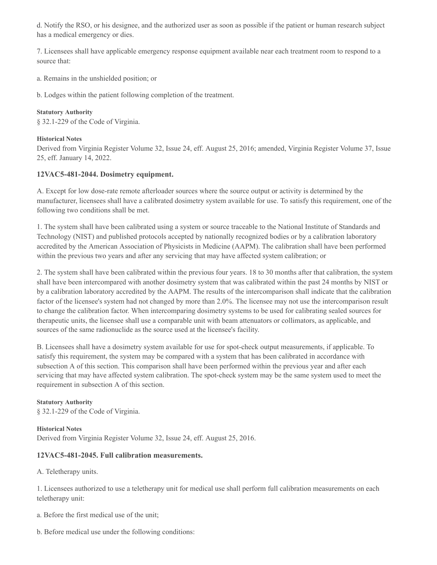d. Notify the RSO, or his designee, and the authorized user as soon as possible if the patient or human research subject has a medical emergency or dies.

7. Licensees shall have applicable emergency response equipment available near each treatment room to respond to a source that:

a. Remains in the unshielded position; or

b. Lodges within the patient following completion of the treatment.

#### **Statutory Authority**

§ 32.1-229 of the Code of Virginia.

#### **Historical Notes**

Derived from Virginia Register Volume 32, Issue 24, eff. August 25, 2016; amended, Virginia Register Volume 37, Issue 25, eff. January 14, 2022.

## **12VAC5-481-2044. Dosimetry equipment.**

A. Except for low dose-rate remote afterloader sources where the source output or activity is determined by the manufacturer, licensees shall have a calibrated dosimetry system available for use. To satisfy this requirement, one of the following two conditions shall be met.

1. The system shall have been calibrated using a system or source traceable to the National Institute of Standards and Technology (NIST) and published protocols accepted by nationally recognized bodies or by a calibration laboratory accredited by the American Association of Physicists in Medicine (AAPM). The calibration shall have been performed within the previous two years and after any servicing that may have affected system calibration; or

2. The system shall have been calibrated within the previous four years. 18 to 30 months after that calibration, the system shall have been intercompared with another dosimetry system that was calibrated within the past 24 months by NIST or by a calibration laboratory accredited by the AAPM. The results of the intercomparison shall indicate that the calibration factor of the licensee's system had not changed by more than 2.0%. The licensee may not use the intercomparison result to change the calibration factor. When intercomparing dosimetry systems to be used for calibrating sealed sources for therapeutic units, the licensee shall use a comparable unit with beam attenuators or collimators, as applicable, and sources of the same radionuclide as the source used at the licensee's facility.

B. Licensees shall have a dosimetry system available for use for spot-check output measurements, if applicable. To satisfy this requirement, the system may be compared with a system that has been calibrated in accordance with subsection A of this section. This comparison shall have been performed within the previous year and after each servicing that may have affected system calibration. The spot-check system may be the same system used to meet the requirement in subsection A of this section.

## **Statutory Authority**

§ 32.1-229 of the Code of Virginia.

**Historical Notes** Derived from Virginia Register Volume 32, Issue 24, eff. August 25, 2016.

## **12VAC5-481-2045. Full calibration measurements.**

A. Teletherapy units.

1. Licensees authorized to use a teletherapy unit for medical use shall perform full calibration measurements on each teletherapy unit:

a. Before the first medical use of the unit;

b. Before medical use under the following conditions: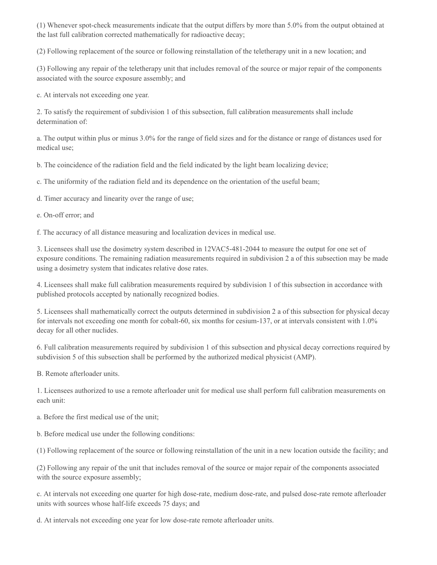(1) Whenever spot-check measurements indicate that the output differs by more than 5.0% from the output obtained at the last full calibration corrected mathematically for radioactive decay;

(2) Following replacement of the source or following reinstallation of the teletherapy unit in a new location; and

(3) Following any repair of the teletherapy unit that includes removal of the source or major repair of the components associated with the source exposure assembly; and

c. At intervals not exceeding one year.

2. To satisfy the requirement of subdivision 1 of this subsection, full calibration measurements shall include determination of:

a. The output within plus or minus 3.0% for the range of field sizes and for the distance or range of distances used for medical use;

b. The coincidence of the radiation field and the field indicated by the light beam localizing device;

c. The uniformity of the radiation field and its dependence on the orientation of the useful beam;

d. Timer accuracy and linearity over the range of use;

e. On-off error; and

f. The accuracy of all distance measuring and localization devices in medical use.

3. Licensees shall use the dosimetry system described in 12VAC5-481-2044 to measure the output for one set of exposure conditions. The remaining radiation measurements required in subdivision 2 a of this subsection may be made using a dosimetry system that indicates relative dose rates.

4. Licensees shall make full calibration measurements required by subdivision 1 of this subsection in accordance with published protocols accepted by nationally recognized bodies.

5. Licensees shall mathematically correct the outputs determined in subdivision 2 a of this subsection for physical decay for intervals not exceeding one month for cobalt-60, six months for cesium-137, or at intervals consistent with 1.0% decay for all other nuclides.

6. Full calibration measurements required by subdivision 1 of this subsection and physical decay corrections required by subdivision 5 of this subsection shall be performed by the authorized medical physicist (AMP).

B. Remote afterloader units.

1. Licensees authorized to use a remote afterloader unit for medical use shall perform full calibration measurements on each unit:

a. Before the first medical use of the unit;

b. Before medical use under the following conditions:

(1) Following replacement of the source or following reinstallation of the unit in a new location outside the facility; and

(2) Following any repair of the unit that includes removal of the source or major repair of the components associated with the source exposure assembly;

c. At intervals not exceeding one quarter for high dose-rate, medium dose-rate, and pulsed dose-rate remote afterloader units with sources whose half-life exceeds 75 days; and

d. At intervals not exceeding one year for low dose-rate remote afterloader units.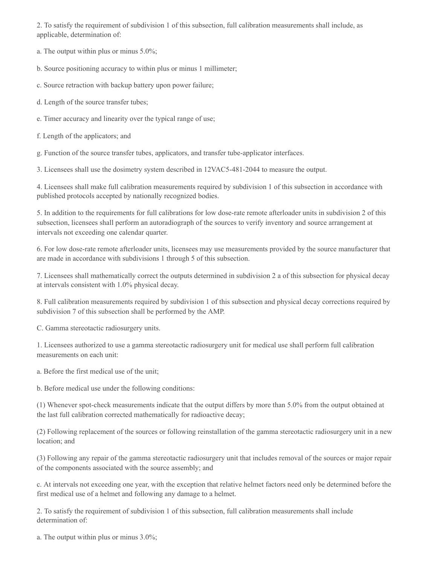2. To satisfy the requirement of subdivision 1 of this subsection, full calibration measurements shall include, as applicable, determination of:

a. The output within plus or minus 5.0%;

b. Source positioning accuracy to within plus or minus 1 millimeter;

c. Source retraction with backup battery upon power failure;

d. Length of the source transfer tubes;

e. Timer accuracy and linearity over the typical range of use;

f. Length of the applicators; and

g. Function of the source transfer tubes, applicators, and transfer tube-applicator interfaces.

3. Licensees shall use the dosimetry system described in 12VAC5-481-2044 to measure the output.

4. Licensees shall make full calibration measurements required by subdivision 1 of this subsection in accordance with published protocols accepted by nationally recognized bodies.

5. In addition to the requirements for full calibrations for low dose-rate remote afterloader units in subdivision 2 of this subsection, licensees shall perform an autoradiograph of the sources to verify inventory and source arrangement at intervals not exceeding one calendar quarter.

6. For low dose-rate remote afterloader units, licensees may use measurements provided by the source manufacturer that are made in accordance with subdivisions 1 through 5 of this subsection.

7. Licensees shall mathematically correct the outputs determined in subdivision 2 a of this subsection for physical decay at intervals consistent with 1.0% physical decay.

8. Full calibration measurements required by subdivision 1 of this subsection and physical decay corrections required by subdivision 7 of this subsection shall be performed by the AMP.

C. Gamma stereotactic radiosurgery units.

1. Licensees authorized to use a gamma stereotactic radiosurgery unit for medical use shall perform full calibration measurements on each unit:

a. Before the first medical use of the unit;

b. Before medical use under the following conditions:

(1) Whenever spot-check measurements indicate that the output differs by more than 5.0% from the output obtained at the last full calibration corrected mathematically for radioactive decay;

(2) Following replacement of the sources or following reinstallation of the gamma stereotactic radiosurgery unit in a new location; and

(3) Following any repair of the gamma stereotactic radiosurgery unit that includes removal of the sources or major repair of the components associated with the source assembly; and

c. At intervals not exceeding one year, with the exception that relative helmet factors need only be determined before the first medical use of a helmet and following any damage to a helmet.

2. To satisfy the requirement of subdivision 1 of this subsection, full calibration measurements shall include determination of:

a. The output within plus or minus 3.0%;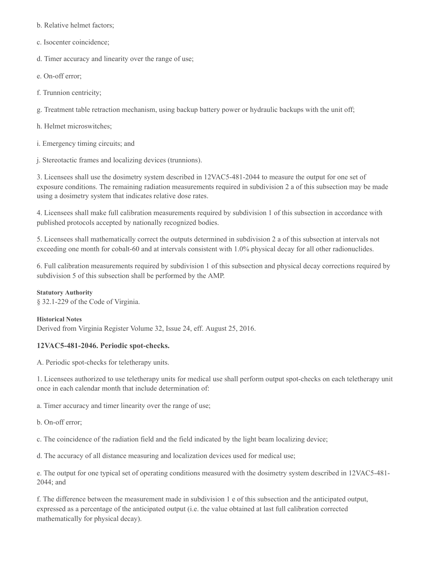b. Relative helmet factors;

c. Isocenter coincidence;

d. Timer accuracy and linearity over the range of use;

e. On-off error;

f. Trunnion centricity;

g. Treatment table retraction mechanism, using backup battery power or hydraulic backups with the unit off;

- h. Helmet microswitches;
- i. Emergency timing circuits; and

j. Stereotactic frames and localizing devices (trunnions).

3. Licensees shall use the dosimetry system described in 12VAC5-481-2044 to measure the output for one set of exposure conditions. The remaining radiation measurements required in subdivision 2 a of this subsection may be made using a dosimetry system that indicates relative dose rates.

4. Licensees shall make full calibration measurements required by subdivision 1 of this subsection in accordance with published protocols accepted by nationally recognized bodies.

5. Licensees shall mathematically correct the outputs determined in subdivision 2 a of this subsection at intervals not exceeding one month for cobalt-60 and at intervals consistent with 1.0% physical decay for all other radionuclides.

6. Full calibration measurements required by subdivision 1 of this subsection and physical decay corrections required by subdivision 5 of this subsection shall be performed by the AMP.

#### **Statutory Authority**

§ 32.1-229 of the Code of Virginia.

#### **Historical Notes**

Derived from Virginia Register Volume 32, Issue 24, eff. August 25, 2016.

## **12VAC5-481-2046. Periodic spot-checks.**

A. Periodic spot-checks for teletherapy units.

1. Licensees authorized to use teletherapy units for medical use shall perform output spot-checks on each teletherapy unit once in each calendar month that include determination of:

a. Timer accuracy and timer linearity over the range of use;

b. On-off error;

c. The coincidence of the radiation field and the field indicated by the light beam localizing device;

d. The accuracy of all distance measuring and localization devices used for medical use;

e. The output for one typical set of operating conditions measured with the dosimetry system described in 12VAC5-481- 2044; and

f. The difference between the measurement made in subdivision 1 e of this subsection and the anticipated output, expressed as a percentage of the anticipated output (i.e. the value obtained at last full calibration corrected mathematically for physical decay).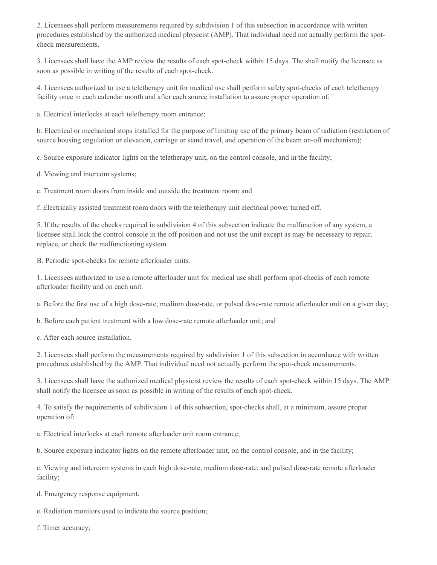2. Licensees shall perform measurements required by subdivision 1 of this subsection in accordance with written procedures established by the authorized medical physicist (AMP). That individual need not actually perform the spotcheck measurements.

3. Licensees shall have the AMP review the results of each spot-check within 15 days. The shall notify the licensee as soon as possible in writing of the results of each spot-check.

4. Licensees authorized to use a teletherapy unit for medical use shall perform safety spot-checks of each teletherapy facility once in each calendar month and after each source installation to assure proper operation of:

a. Electrical interlocks at each teletherapy room entrance;

b. Electrical or mechanical stops installed for the purpose of limiting use of the primary beam of radiation (restriction of source housing angulation or elevation, carriage or stand travel, and operation of the beam on-off mechanism);

c. Source exposure indicator lights on the teletherapy unit, on the control console, and in the facility;

d. Viewing and intercom systems;

e. Treatment room doors from inside and outside the treatment room; and

f. Electrically assisted treatment room doors with the teletherapy unit electrical power turned off.

5. If the results of the checks required in subdivision 4 of this subsection indicate the malfunction of any system, a licensee shall lock the control console in the off position and not use the unit except as may be necessary to repair, replace, or check the malfunctioning system.

B. Periodic spot-checks for remote afterloader units.

1. Licensees authorized to use a remote afterloader unit for medical use shall perform spot-checks of each remote afterloader facility and on each unit:

a. Before the first use of a high dose-rate, medium dose-rate, or pulsed dose-rate remote afterloader unit on a given day;

b. Before each patient treatment with a low dose-rate remote afterloader unit; and

c. After each source installation.

2. Licensees shall perform the measurements required by subdivision 1 of this subsection in accordance with written procedures established by the AMP. That individual need not actually perform the spot-check measurements.

3. Licensees shall have the authorized medical physicist review the results of each spot-check within 15 days. The AMP shall notify the licensee as soon as possible in writing of the results of each spot-check.

4. To satisfy the requirements of subdivision 1 of this subsection, spot-checks shall, at a minimum, assure proper operation of:

a. Electrical interlocks at each remote afterloader unit room entrance;

b. Source exposure indicator lights on the remote afterloader unit, on the control console, and in the facility;

c. Viewing and intercom systems in each high dose-rate, medium dose-rate, and pulsed dose-rate remote afterloader facility;

d. Emergency response equipment;

e. Radiation monitors used to indicate the source position;

f. Timer accuracy;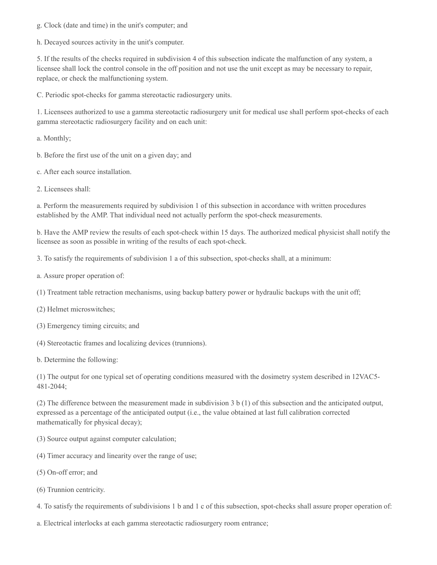g. Clock (date and time) in the unit's computer; and

h. Decayed sources activity in the unit's computer.

5. If the results of the checks required in subdivision 4 of this subsection indicate the malfunction of any system, a licensee shall lock the control console in the off position and not use the unit except as may be necessary to repair, replace, or check the malfunctioning system.

C. Periodic spot-checks for gamma stereotactic radiosurgery units.

1. Licensees authorized to use a gamma stereotactic radiosurgery unit for medical use shall perform spot-checks of each gamma stereotactic radiosurgery facility and on each unit:

a. Monthly;

- b. Before the first use of the unit on a given day; and
- c. After each source installation.
- 2. Licensees shall:

a. Perform the measurements required by subdivision 1 of this subsection in accordance with written procedures established by the AMP. That individual need not actually perform the spot-check measurements.

b. Have the AMP review the results of each spot-check within 15 days. The authorized medical physicist shall notify the licensee as soon as possible in writing of the results of each spot-check.

3. To satisfy the requirements of subdivision 1 a of this subsection, spot-checks shall, at a minimum:

- a. Assure proper operation of:
- (1) Treatment table retraction mechanisms, using backup battery power or hydraulic backups with the unit off;
- (2) Helmet microswitches;
- (3) Emergency timing circuits; and
- (4) Stereotactic frames and localizing devices (trunnions).
- b. Determine the following:

(1) The output for one typical set of operating conditions measured with the dosimetry system described in 12VAC5- 481-2044;

(2) The difference between the measurement made in subdivision 3 b (1) of this subsection and the anticipated output, expressed as a percentage of the anticipated output (i.e., the value obtained at last full calibration corrected mathematically for physical decay);

- (3) Source output against computer calculation;
- (4) Timer accuracy and linearity over the range of use;
- (5) On-off error; and
- (6) Trunnion centricity.
- 4. To satisfy the requirements of subdivisions 1 b and 1 c of this subsection, spot-checks shall assure proper operation of:
- a. Electrical interlocks at each gamma stereotactic radiosurgery room entrance;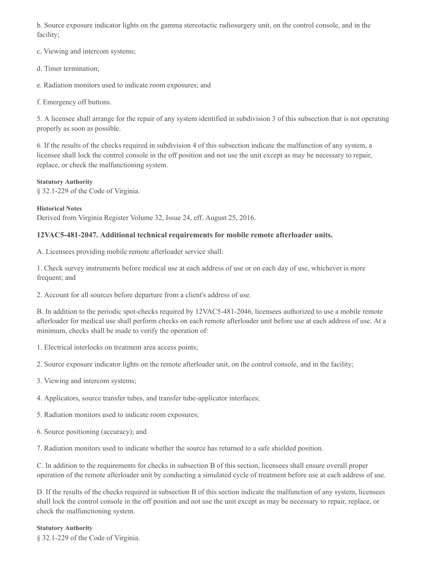b. Source exposure indicator lights on the gamma stereotactic radiosurgery unit, on the control console, and in the facility;

c. Viewing and intercom systems;

- d. Timer termination;
- e. Radiation monitors used to indicate room exposures; and

f. Emergency off buttons.

5. A licensee shall arrange for the repair of any system identified in subdivision 3 of this subsection that is not operating properly as soon as possible.

6. If the results of the checks required in subdivision 4 of this subsection indicate the malfunction of any system, a licensee shall lock the control console in the off position and not use the unit except as may be necessary to repair, replace, or check the malfunctioning system.

#### **Statutory Authority**

§ 32.1-229 of the Code of Virginia.

**Historical Notes** Derived from Virginia Register Volume 32, Issue 24, eff. August 25, 2016.

## **12VAC5-481-2047. Additional technical requirements for mobile remote afterloader units.**

A. Licensees providing mobile remote afterloader service shall:

1. Check survey instruments before medical use at each address of use or on each day of use, whichever is more frequent; and

2. Account for all sources before departure from a client's address of use.

B. In addition to the periodic spot-checks required by 12VAC5-481-2046, licensees authorized to use a mobile remote afterloader for medical use shall perform checks on each remote afterloader unit before use at each address of use. At a minimum, checks shall be made to verify the operation of:

1. Electrical interlocks on treatment area access points;

2. Source exposure indicator lights on the remote afterloader unit, on the control console, and in the facility;

- 3. Viewing and intercom systems;
- 4. Applicators, source transfer tubes, and transfer tube-applicator interfaces;
- 5. Radiation monitors used to indicate room exposures;
- 6. Source positioning (accuracy); and

7. Radiation monitors used to indicate whether the source has returned to a safe shielded position.

C. In addition to the requirements for checks in subsection B of this section, licensees shall ensure overall proper operation of the remote afterloader unit by conducting a simulated cycle of treatment before use at each address of use.

D. If the results of the checks required in subsection B of this section indicate the malfunction of any system, licensees shall lock the control console in the off position and not use the unit except as may be necessary to repair, replace, or check the malfunctioning system.

#### **Statutory Authority**

§ 32.1-229 of the Code of Virginia.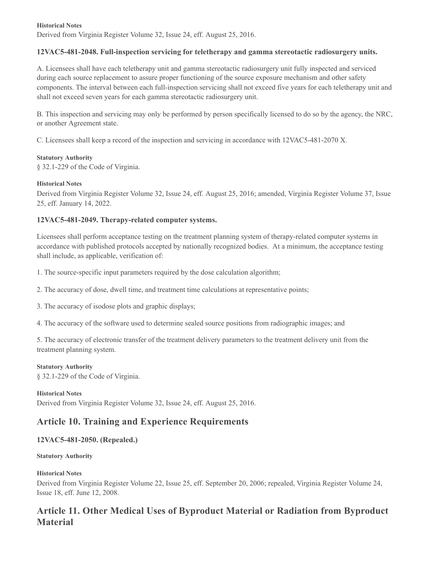#### **Historical Notes**

Derived from Virginia Register Volume 32, Issue 24, eff. August 25, 2016.

## **12VAC5-481-2048. Full-inspection servicing for teletherapy and gamma stereotactic radiosurgery units.**

A. Licensees shall have each teletherapy unit and gamma stereotactic radiosurgery unit fully inspected and serviced during each source replacement to assure proper functioning of the source exposure mechanism and other safety components. The interval between each full-inspection servicing shall not exceed five years for each teletherapy unit and shall not exceed seven years for each gamma stereotactic radiosurgery unit.

B. This inspection and servicing may only be performed by person specifically licensed to do so by the agency, the NRC, or another Agreement state.

C. Licensees shall keep a record of the inspection and servicing in accordance with 12VAC5-481-2070 X.

#### **Statutory Authority**

§ 32.1-229 of the Code of Virginia.

#### **Historical Notes**

Derived from Virginia Register Volume 32, Issue 24, eff. August 25, 2016; amended, Virginia Register Volume 37, Issue 25, eff. January 14, 2022.

## **12VAC5-481-2049. Therapy-related computer systems.**

Licensees shall perform acceptance testing on the treatment planning system of therapy-related computer systems in accordance with published protocols accepted by nationally recognized bodies. At a minimum, the acceptance testing shall include, as applicable, verification of:

1. The source-specific input parameters required by the dose calculation algorithm;

2. The accuracy of dose, dwell time, and treatment time calculations at representative points;

3. The accuracy of isodose plots and graphic displays;

4. The accuracy of the software used to determine sealed source positions from radiographic images; and

5. The accuracy of electronic transfer of the treatment delivery parameters to the treatment delivery unit from the treatment planning system.

#### **Statutory Authority**

§ 32.1-229 of the Code of Virginia.

**Historical Notes** Derived from Virginia Register Volume 32, Issue 24, eff. August 25, 2016.

# **Article 10. Training and Experience Requirements**

## **12VAC5-481-2050. (Repealed.)**

#### **Statutory Authority**

## **Historical Notes**

Derived from Virginia Register Volume 22, Issue 25, eff. September 20, 2006; repealed, Virginia Register Volume 24, Issue 18, eff. June 12, 2008.

# **Article 11. Other Medical Uses of Byproduct Material or Radiation from Byproduct Material**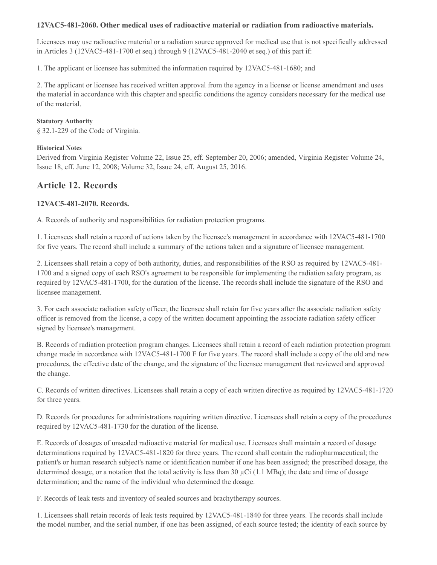## **12VAC5-481-2060. Other medical uses of radioactive material or radiation from radioactive materials.**

Licensees may use radioactive material or a radiation source approved for medical use that is not specifically addressed in Articles 3 (12VAC5-481-1700 et seq.) through 9 (12VAC5-481-2040 et seq.) of this part if:

1. The applicant or licensee has submitted the information required by 12VAC5-481-1680; and

2. The applicant or licensee has received written approval from the agency in a license or license amendment and uses the material in accordance with this chapter and specific conditions the agency considers necessary for the medical use of the material.

### **Statutory Authority**

§ 32.1-229 of the Code of Virginia.

## **Historical Notes**

Derived from Virginia Register Volume 22, Issue 25, eff. September 20, 2006; amended, Virginia Register Volume 24, Issue 18, eff. June 12, 2008; Volume 32, Issue 24, eff. August 25, 2016.

# **Article 12. Records**

## **12VAC5-481-2070. Records.**

A. Records of authority and responsibilities for radiation protection programs.

1. Licensees shall retain a record of actions taken by the licensee's management in accordance with 12VAC5-481-1700 for five years. The record shall include a summary of the actions taken and a signature of licensee management.

2. Licensees shall retain a copy of both authority, duties, and responsibilities of the RSO as required by 12VAC5-481- 1700 and a signed copy of each RSO's agreement to be responsible for implementing the radiation safety program, as required by 12VAC5-481-1700, for the duration of the license. The records shall include the signature of the RSO and licensee management.

3. For each associate radiation safety officer, the licensee shall retain for five years after the associate radiation safety officer is removed from the license, a copy of the written document appointing the associate radiation safety officer signed by licensee's management.

B. Records of radiation protection program changes. Licensees shall retain a record of each radiation protection program change made in accordance with 12VAC5-481-1700 F for five years. The record shall include a copy of the old and new procedures, the effective date of the change, and the signature of the licensee management that reviewed and approved the change.

C. Records of written directives. Licensees shall retain a copy of each written directive as required by 12VAC5-481-1720 for three years.

D. Records for procedures for administrations requiring written directive. Licensees shall retain a copy of the procedures required by 12VAC5-481-1730 for the duration of the license.

E. Records of dosages of unsealed radioactive material for medical use. Licensees shall maintain a record of dosage determinations required by 12VAC5-481-1820 for three years. The record shall contain the radiopharmaceutical; the patient's or human research subject's name or identification number if one has been assigned; the prescribed dosage, the determined dosage, or a notation that the total activity is less than 30  $\mu$ Ci (1.1 MBq); the date and time of dosage determination; and the name of the individual who determined the dosage.

F. Records of leak tests and inventory of sealed sources and brachytherapy sources.

1. Licensees shall retain records of leak tests required by 12VAC5-481-1840 for three years. The records shall include the model number, and the serial number, if one has been assigned, of each source tested; the identity of each source by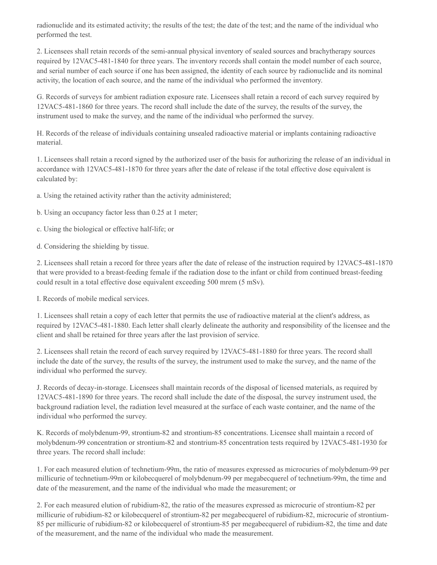radionuclide and its estimated activity; the results of the test; the date of the test; and the name of the individual who performed the test.

2. Licensees shall retain records of the semi-annual physical inventory of sealed sources and brachytherapy sources required by 12VAC5-481-1840 for three years. The inventory records shall contain the model number of each source, and serial number of each source if one has been assigned, the identity of each source by radionuclide and its nominal activity, the location of each source, and the name of the individual who performed the inventory.

G. Records of surveys for ambient radiation exposure rate. Licensees shall retain a record of each survey required by 12VAC5-481-1860 for three years. The record shall include the date of the survey, the results of the survey, the instrument used to make the survey, and the name of the individual who performed the survey.

H. Records of the release of individuals containing unsealed radioactive material or implants containing radioactive material.

1. Licensees shall retain a record signed by the authorized user of the basis for authorizing the release of an individual in accordance with 12VAC5-481-1870 for three years after the date of release if the total effective dose equivalent is calculated by:

a. Using the retained activity rather than the activity administered;

b. Using an occupancy factor less than 0.25 at 1 meter;

c. Using the biological or effective half-life; or

d. Considering the shielding by tissue.

2. Licensees shall retain a record for three years after the date of release of the instruction required by 12VAC5-481-1870 that were provided to a breast-feeding female if the radiation dose to the infant or child from continued breast-feeding could result in a total effective dose equivalent exceeding 500 mrem (5 mSv).

I. Records of mobile medical services.

1. Licensees shall retain a copy of each letter that permits the use of radioactive material at the client's address, as required by 12VAC5-481-1880. Each letter shall clearly delineate the authority and responsibility of the licensee and the client and shall be retained for three years after the last provision of service.

2. Licensees shall retain the record of each survey required by 12VAC5-481-1880 for three years. The record shall include the date of the survey, the results of the survey, the instrument used to make the survey, and the name of the individual who performed the survey.

J. Records of decay-in-storage. Licensees shall maintain records of the disposal of licensed materials, as required by 12VAC5-481-1890 for three years. The record shall include the date of the disposal, the survey instrument used, the background radiation level, the radiation level measured at the surface of each waste container, and the name of the individual who performed the survey.

K. Records of molybdenum-99, strontium-82 and strontium-85 concentrations. Licensee shall maintain a record of molybdenum-99 concentration or strontium-82 and stontrium-85 concentration tests required by 12VAC5-481-1930 for three years. The record shall include:

1. For each measured elution of technetium-99m, the ratio of measures expressed as microcuries of molybdenum-99 per millicurie of technetium-99m or kilobecquerel of molybdenum-99 per megabecquerel of technetium-99m, the time and date of the measurement, and the name of the individual who made the measurement; or

2. For each measured elution of rubidium-82, the ratio of the measures expressed as microcurie of strontium-82 per millicurie of rubidium-82 or kilobecquerel of strontium-82 per megabecquerel of rubidium-82, microcurie of strontium-85 per millicurie of rubidium-82 or kilobecquerel of strontium-85 per megabecquerel of rubidium-82, the time and date of the measurement, and the name of the individual who made the measurement.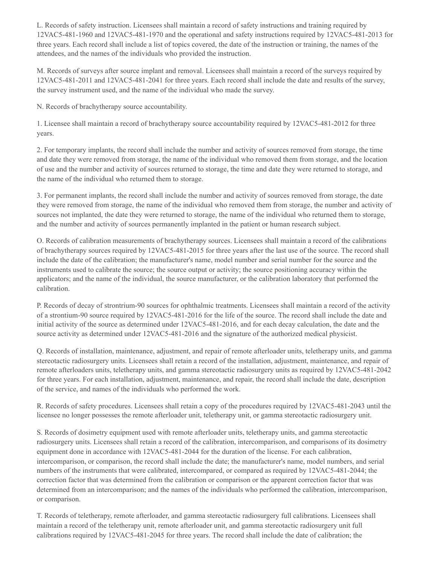L. Records of safety instruction. Licensees shall maintain a record of safety instructions and training required by 12VAC5-481-1960 and 12VAC5-481-1970 and the operational and safety instructions required by 12VAC5-481-2013 for three years. Each record shall include a list of topics covered, the date of the instruction or training, the names of the attendees, and the names of the individuals who provided the instruction.

M. Records of surveys after source implant and removal. Licensees shall maintain a record of the surveys required by 12VAC5-481-2011 and 12VAC5-481-2041 for three years. Each record shall include the date and results of the survey, the survey instrument used, and the name of the individual who made the survey.

N. Records of brachytherapy source accountability.

1. Licensee shall maintain a record of brachytherapy source accountability required by 12VAC5-481-2012 for three years.

2. For temporary implants, the record shall include the number and activity of sources removed from storage, the time and date they were removed from storage, the name of the individual who removed them from storage, and the location of use and the number and activity of sources returned to storage, the time and date they were returned to storage, and the name of the individual who returned them to storage.

3. For permanent implants, the record shall include the number and activity of sources removed from storage, the date they were removed from storage, the name of the individual who removed them from storage, the number and activity of sources not implanted, the date they were returned to storage, the name of the individual who returned them to storage, and the number and activity of sources permanently implanted in the patient or human research subject.

O. Records of calibration measurements of brachytherapy sources. Licensees shall maintain a record of the calibrations of brachytherapy sources required by 12VAC5-481-2015 for three years after the last use of the source. The record shall include the date of the calibration; the manufacturer's name, model number and serial number for the source and the instruments used to calibrate the source; the source output or activity; the source positioning accuracy within the applicators; and the name of the individual, the source manufacturer, or the calibration laboratory that performed the calibration.

P. Records of decay of strontrium-90 sources for ophthalmic treatments. Licensees shall maintain a record of the activity of a strontium-90 source required by 12VAC5-481-2016 for the life of the source. The record shall include the date and initial activity of the source as determined under 12VAC5-481-2016, and for each decay calculation, the date and the source activity as determined under  $12\sqrt{AC5-481-2016}$  and the signature of the authorized medical physicist.

Q. Records of installation, maintenance, adjustment, and repair of remote afterloader units, teletherapy units, and gamma stereotactic radiosurgery units. Licensees shall retain a record of the installation, adjustment, maintenance, and repair of remote afterloaders units, teletherapy units, and gamma stereotactic radiosurgery units as required by 12VAC5-481-2042 for three years. For each installation, adjustment, maintenance, and repair, the record shall include the date, description of the service, and names of the individuals who performed the work.

R. Records of safety procedures. Licensees shall retain a copy of the procedures required by 12VAC5-481-2043 until the licensee no longer possesses the remote afterloader unit, teletherapy unit, or gamma stereotactic radiosurgery unit.

S. Records of dosimetry equipment used with remote afterloader units, teletherapy units, and gamma stereotactic radiosurgery units. Licensees shall retain a record of the calibration, intercomparison, and comparisons of its dosimetry equipment done in accordance with 12VAC5-481-2044 for the duration of the license. For each calibration, intercomparison, or comparison, the record shall include the date; the manufacturer's name, model numbers, and serial numbers of the instruments that were calibrated, intercompared, or compared as required by 12VAC5-481-2044; the correction factor that was determined from the calibration or comparison or the apparent correction factor that was determined from an intercomparison; and the names of the individuals who performed the calibration, intercomparison, or comparison.

T. Records of teletherapy, remote afterloader, and gamma stereotactic radiosurgery full calibrations. Licensees shall maintain a record of the teletherapy unit, remote afterloader unit, and gamma stereotactic radiosurgery unit full calibrations required by 12VAC5-481-2045 for three years. The record shall include the date of calibration; the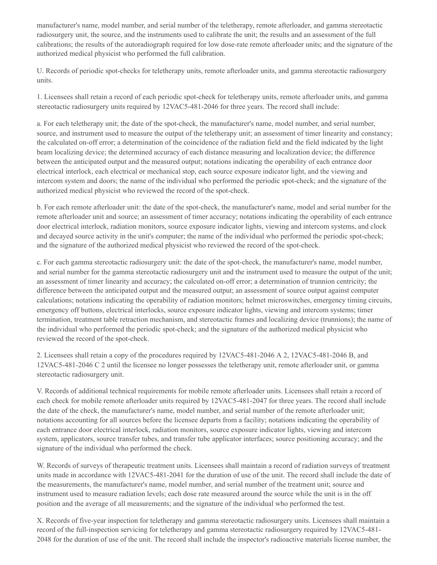manufacturer's name, model number, and serial number of the teletherapy, remote afterloader, and gamma stereotactic radiosurgery unit, the source, and the instruments used to calibrate the unit; the results and an assessment of the full calibrations; the results of the autoradiograph required for low dose-rate remote afterloader units; and the signature of the authorized medical physicist who performed the full calibration.

U. Records of periodic spot-checks for teletherapy units, remote afterloader units, and gamma stereotactic radiosurgery units.

1. Licensees shall retain a record of each periodic spot-check for teletherapy units, remote afterloader units, and gamma stereotactic radiosurgery units required by 12VAC5-481-2046 for three years. The record shall include:

a. For each teletherapy unit; the date of the spot-check, the manufacturer's name, model number, and serial number, source, and instrument used to measure the output of the teletherapy unit; an assessment of timer linearity and constancy; the calculated on-off error; a determination of the coincidence of the radiation field and the field indicated by the light beam localizing device; the determined accuracy of each distance measuring and localization device; the difference between the anticipated output and the measured output; notations indicating the operability of each entrance door electrical interlock, each electrical or mechanical stop, each source exposure indicator light, and the viewing and intercom system and doors; the name of the individual who performed the periodic spot-check; and the signature of the authorized medical physicist who reviewed the record of the spot-check.

b. For each remote afterloader unit: the date of the spot-check, the manufacturer's name, model and serial number for the remote afterloader unit and source; an assessment of timer accuracy; notations indicating the operability of each entrance door electrical interlock, radiation monitors, source exposure indicator lights, viewing and intercom systems, and clock and decayed source activity in the unit's computer; the name of the individual who performed the periodic spot-check; and the signature of the authorized medical physicist who reviewed the record of the spot-check.

c. For each gamma stereotactic radiosurgery unit: the date of the spot-check, the manufacturer's name, model number, and serial number for the gamma stereotactic radiosurgery unit and the instrument used to measure the output of the unit; an assessment of timer linearity and accuracy; the calculated on-off error; a determination of trunnion centricity; the difference between the anticipated output and the measured output; an assessment of source output against computer calculations; notations indicating the operability of radiation monitors; helmet microswitches, emergency timing circuits, emergency off buttons, electrical interlocks, source exposure indicator lights, viewing and intercom systems; timer termination, treatment table retraction mechanism, and stereotactic frames and localizing device (trunnions); the name of the individual who performed the periodic spot-check; and the signature of the authorized medical physicist who reviewed the record of the spot-check.

2. Licensees shall retain a copy of the procedures required by 12VAC5-481-2046 A 2, 12VAC5-481-2046 B, and 12VAC5-481-2046 C 2 until the licensee no longer possesses the teletherapy unit, remote afterloader unit, or gamma stereotactic radiosurgery unit.

V. Records of additional technical requirements for mobile remote afterloader units. Licensees shall retain a record of each check for mobile remote afterloader units required by 12VAC5-481-2047 for three years. The record shall include the date of the check, the manufacturer's name, model number, and serial number of the remote afterloader unit; notations accounting for all sources before the licensee departs from a facility; notations indicating the operability of each entrance door electrical interlock, radiation monitors, source exposure indicator lights, viewing and intercom system, applicators, source transfer tubes, and transfer tube applicator interfaces; source positioning accuracy; and the signature of the individual who performed the check.

W. Records of surveys of therapeutic treatment units. Licensees shall maintain a record of radiation surveys of treatment units made in accordance with 12VAC5-481-2041 for the duration of use of the unit. The record shall include the date of the measurements, the manufacturer's name, model number, and serial number of the treatment unit; source and instrument used to measure radiation levels; each dose rate measured around the source while the unit is in the off position and the average of all measurements; and the signature of the individual who performed the test.

X. Records of five-year inspection for teletherapy and gamma stereotactic radiosurgery units. Licensees shall maintain a record of the full-inspection servicing for teletherapy and gamma stereotactic radiosurgery required by 12VAC5-481- 2048 for the duration of use of the unit. The record shall include the inspector's radioactive materials license number, the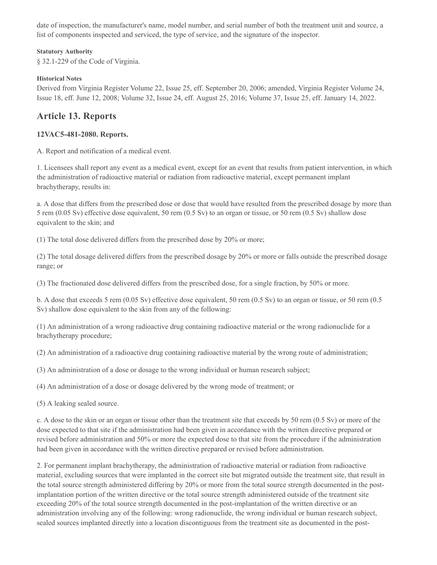date of inspection, the manufacturer's name, model number, and serial number of both the treatment unit and source, a list of components inspected and serviced, the type of service, and the signature of the inspector.

#### **Statutory Authority**

§ 32.1-229 of the Code of Virginia.

### **Historical Notes**

Derived from Virginia Register Volume 22, Issue 25, eff. September 20, 2006; amended, Virginia Register Volume 24, Issue 18, eff. June 12, 2008; Volume 32, Issue 24, eff. August 25, 2016; Volume 37, Issue 25, eff. January 14, 2022.

# **Article 13. Reports**

## **12VAC5-481-2080. Reports.**

A. Report and notification of a medical event.

1. Licensees shall report any event as a medical event, except for an event that results from patient intervention, in which the administration of radioactive material or radiation from radioactive material, except permanent implant brachytherapy, results in:

a. A dose that differs from the prescribed dose or dose that would have resulted from the prescribed dosage by more than 5 rem (0.05 Sv) effective dose equivalent, 50 rem (0.5 Sv) to an organ or tissue, or 50 rem (0.5 Sv) shallow dose equivalent to the skin; and

(1) The total dose delivered differs from the prescribed dose by 20% or more;

(2) The total dosage delivered differs from the prescribed dosage by 20% or more or falls outside the prescribed dosage range; or

(3) The fractionated dose delivered differs from the prescribed dose, for a single fraction, by 50% or more.

b. A dose that exceeds 5 rem (0.05 Sv) effective dose equivalent, 50 rem (0.5 Sv) to an organ or tissue, or 50 rem (0.5 Sv) shallow dose equivalent to the skin from any of the following:

(1) An administration of a wrong radioactive drug containing radioactive material or the wrong radionuclide for a brachytherapy procedure;

(2) An administration of a radioactive drug containing radioactive material by the wrong route of administration;

(3) An administration of a dose or dosage to the wrong individual or human research subject;

(4) An administration of a dose or dosage delivered by the wrong mode of treatment; or

(5) A leaking sealed source.

c. A dose to the skin or an organ or tissue other than the treatment site that exceeds by 50 rem (0.5 Sv) or more of the dose expected to that site if the administration had been given in accordance with the written directive prepared or revised before administration and 50% or more the expected dose to that site from the procedure if the administration had been given in accordance with the written directive prepared or revised before administration.

2. For permanent implant brachytherapy, the administration of radioactive material or radiation from radioactive material, excluding sources that were implanted in the correct site but migrated outside the treatment site, that result in the total source strength administered differing by 20% or more from the total source strength documented in the postimplantation portion of the written directive or the total source strength administered outside of the treatment site exceeding 20% of the total source strength documented in the post-implantation of the written directive or an administration involving any of the following: wrong radionuclide, the wrong individual or human research subject, sealed sources implanted directly into a location discontiguous from the treatment site as documented in the post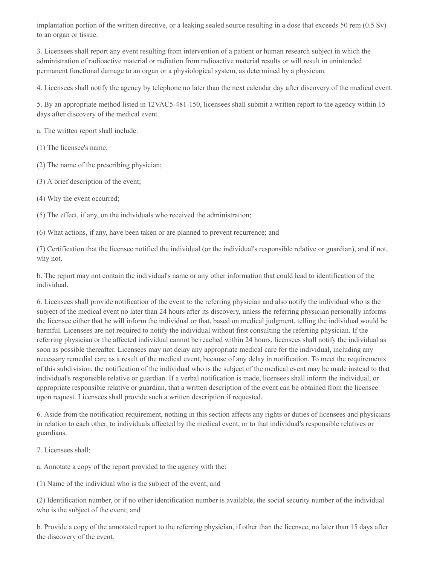implantation portion of the written directive, or a leaking sealed source resulting in a dose that exceeds 50 rem (0.5 Sv) to an organ or tissue.

3. Licensees shall report any event resulting from intervention of a patient or human research subject in which the administration of radioactive material or radiation from radioactive material results or will result in unintended permanent functional damage to an organ or a physiological system, as determined by a physician.

4. Licensees shall notify the agency by telephone no later than the next calendar day after discovery of the medical event.

5. By an appropriate method listed in 12VAC5-481-150, licensees shall submit a written report to the agency within 15 days after discovery of the medical event.

a. The written report shall include:

(1) The licensee's name;

(2) The name of the prescribing physician;

(3) A brief description of the event;

(4) Why the event occurred;

(5) The effect, if any, on the individuals who received the administration;

(6) What actions, if any, have been taken or are planned to prevent recurrence; and

(7) Certification that the licensee notified the individual (or the individual's responsible relative or guardian), and if not, why not.

b. The report may not contain the individual's name or any other information that could lead to identification of the individual.

6. Licensees shall provide notification of the event to the referring physician and also notify the individual who is the subject of the medical event no later than 24 hours after its discovery, unless the referring physician personally informs the licensee either that he will inform the individual or that, based on medical judgment, telling the individual would be harmful. Licensees are not required to notify the individual without first consulting the referring physician. If the referring physician or the affected individual cannot be reached within 24 hours, licensees shall notify the individual as soon as possible thereafter. Licensees may not delay any appropriate medical care for the individual, including any necessary remedial care as a result of the medical event, because of any delay in notification. To meet the requirements of this subdivision, the notification of the individual who is the subject of the medical event may be made instead to that individual's responsible relative or guardian. If a verbal notification is made, licensees shall inform the individual, or appropriate responsible relative or guardian, that a written description of the event can be obtained from the licensee upon request. Licensees shall provide such a written description if requested.

6. Aside from the notification requirement, nothing in this section affects any rights or duties of licensees and physicians in relation to each other, to individuals affected by the medical event, or to that individual's responsible relatives or guardians.

7. Licensees shall:

a. Annotate a copy of the report provided to the agency with the:

(1) Name of the individual who is the subject of the event; and

(2) Identification number, or if no other identification number is available, the social security number of the individual who is the subject of the event; and

b. Provide a copy of the annotated report to the referring physician, if other than the licensee, no later than 15 days after the discovery of the event.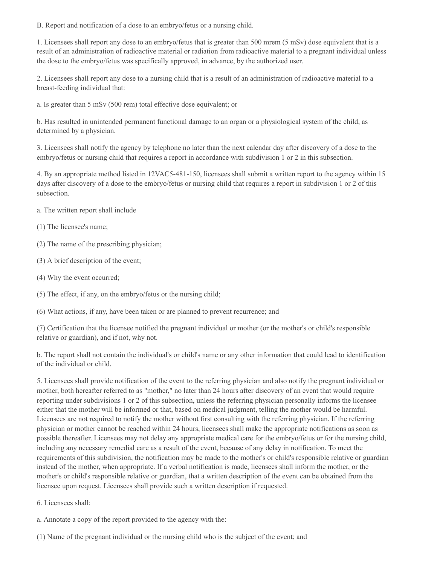B. Report and notification of a dose to an embryo/fetus or a nursing child.

1. Licensees shall report any dose to an embryo/fetus that is greater than 500 mrem (5 mSv) dose equivalent that is a result of an administration of radioactive material or radiation from radioactive material to a pregnant individual unless the dose to the embryo/fetus was specifically approved, in advance, by the authorized user.

2. Licensees shall report any dose to a nursing child that is a result of an administration of radioactive material to a breast-feeding individual that:

a. Is greater than 5 mSv (500 rem) total effective dose equivalent; or

b. Has resulted in unintended permanent functional damage to an organ or a physiological system of the child, as determined by a physician.

3. Licensees shall notify the agency by telephone no later than the next calendar day after discovery of a dose to the embryo/fetus or nursing child that requires a report in accordance with subdivision 1 or 2 in this subsection.

4. By an appropriate method listed in 12VAC5-481-150, licensees shall submit a written report to the agency within 15 days after discovery of a dose to the embryo/fetus or nursing child that requires a report in subdivision 1 or 2 of this subsection.

- a. The written report shall include
- (1) The licensee's name;
- (2) The name of the prescribing physician;
- (3) A brief description of the event;
- (4) Why the event occurred;
- (5) The effect, if any, on the embryo/fetus or the nursing child;
- (6) What actions, if any, have been taken or are planned to prevent recurrence; and

(7) Certification that the licensee notified the pregnant individual or mother (or the mother's or child's responsible relative or guardian), and if not, why not.

b. The report shall not contain the individual's or child's name or any other information that could lead to identification of the individual or child.

5. Licensees shall provide notification of the event to the referring physician and also notify the pregnant individual or mother, both hereafter referred to as "mother," no later than 24 hours after discovery of an event that would require reporting under subdivisions 1 or 2 of this subsection, unless the referring physician personally informs the licensee either that the mother will be informed or that, based on medical judgment, telling the mother would be harmful. Licensees are not required to notify the mother without first consulting with the referring physician. If the referring physician or mother cannot be reached within 24 hours, licensees shall make the appropriate notifications as soon as possible thereafter. Licensees may not delay any appropriate medical care for the embryo/fetus or for the nursing child, including any necessary remedial care as a result of the event, because of any delay in notification. To meet the requirements of this subdivision, the notification may be made to the mother's or child's responsible relative or guardian instead of the mother, when appropriate. If a verbal notification is made, licensees shall inform the mother, or the mother's or child's responsible relative or guardian, that a written description of the event can be obtained from the licensee upon request. Licensees shall provide such a written description if requested.

6. Licensees shall:

a. Annotate a copy of the report provided to the agency with the:

(1) Name of the pregnant individual or the nursing child who is the subject of the event; and